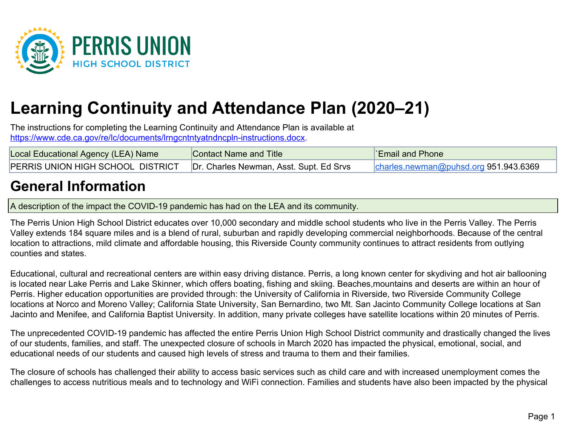

# **Learning Continuity and Attendance Plan (2020–21)**

The instructions for completing the Learning Continuity and Attendance Plan is available at [https://www.cde.ca.gov/re/lc/documents/lrngcntntyatndncpln-instructions.docx.](https://www.cde.ca.gov/re/lc/documents/lrngcntntyatndncpln-instructions.docx)

| Local Educational Agency (LEA) Name                                         | Contact Name and Title | <b>Email and Phone</b>                |
|-----------------------------------------------------------------------------|------------------------|---------------------------------------|
| PERRIS UNION HIGH SCHOOL DISTRICT   Dr. Charles Newman, Asst. Supt. Ed Srvs |                        | charles.newman@puhsd.org 951.943.6369 |

## **General Information**

A description of the impact the COVID-19 pandemic has had on the LEA and its community.

The Perris Union High School District educates over 10,000 secondary and middle school students who live in the Perris Valley. The Perris Valley extends 184 square miles and is a blend of rural, suburban and rapidly developing commercial neighborhoods. Because of the central location to attractions, mild climate and affordable housing, this Riverside County community continues to attract residents from outlying counties and states.

Educational, cultural and recreational centers are within easy driving distance. Perris, a long known center for skydiving and hot air ballooning is located near Lake Perris and Lake Skinner, which offers boating, fishing and skiing. Beaches,mountains and deserts are within an hour of Perris. Higher education opportunities are provided through: the University of California in Riverside, two Riverside Community College locations at Norco and Moreno Valley; California State University, San Bernardino, two Mt. San Jacinto Community College locations at San Jacinto and Menifee, and California Baptist University. In addition, many private colleges have satellite locations within 20 minutes of Perris.

The unprecedented COVID-19 pandemic has affected the entire Perris Union High School District community and drastically changed the lives of our students, families, and staff. The unexpected closure of schools in March 2020 has impacted the physical, emotional, social, and educational needs of our students and caused high levels of stress and trauma to them and their families.

The closure of schools has challenged their ability to access basic services such as child care and with increased unemployment comes the challenges to access nutritious meals and to technology and WiFi connection. Families and students have also been impacted by the physical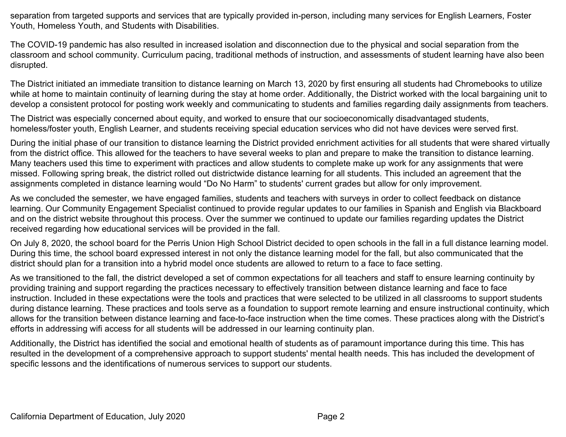separation from targeted supports and services that are typically provided in-person, including many services for English Learners, Foster Youth, Homeless Youth, and Students with Disabilities.

The COVID-19 pandemic has also resulted in increased isolation and disconnection due to the physical and social separation from the classroom and school community. Curriculum pacing, traditional methods of instruction, and assessments of student learning have also been disrupted.

The District initiated an immediate transition to distance learning on March 13, 2020 by first ensuring all students had Chromebooks to utilize while at home to maintain continuity of learning during the stay at home order. Additionally, the District worked with the local bargaining unit to develop a consistent protocol for posting work weekly and communicating to students and families regarding daily assignments from teachers.

The District was especially concerned about equity, and worked to ensure that our socioeconomically disadvantaged students, homeless/foster youth, English Learner, and students receiving special education services who did not have devices were served first.

During the initial phase of our transition to distance learning the District provided enrichment activities for all students that were shared virtually from the district office. This allowed for the teachers to have several weeks to plan and prepare to make the transition to distance learning. Many teachers used this time to experiment with practices and allow students to complete make up work for any assignments that were missed. Following spring break, the district rolled out districtwide distance learning for all students. This included an agreement that the assignments completed in distance learning would "Do No Harm" to students' current grades but allow for only improvement.

As we concluded the semester, we have engaged families, students and teachers with surveys in order to collect feedback on distance learning. Our Community Engagement Specialist continued to provide regular updates to our families in Spanish and English via Blackboard and on the district website throughout this process. Over the summer we continued to update our families regarding updates the District received regarding how educational services will be provided in the fall.

On July 8, 2020, the school board for the Perris Union High School District decided to open schools in the fall in a full distance learning model. During this time, the school board expressed interest in not only the distance learning model for the fall, but also communicated that the district should plan for a transition into a hybrid model once students are allowed to return to a face to face setting.

As we transitioned to the fall, the district developed a set of common expectations for all teachers and staff to ensure learning continuity by providing training and support regarding the practices necessary to effectively transition between distance learning and face to face instruction. Included in these expectations were the tools and practices that were selected to be utilized in all classrooms to support students during distance learning. These practices and tools serve as a foundation to support remote learning and ensure instructional continuity, which allows for the transition between distance learning and face-to-face instruction when the time comes. These practices along with the District's efforts in addressing wifi access for all students will be addressed in our learning continuity plan.

Additionally, the District has identified the social and emotional health of students as of paramount importance during this time. This has resulted in the development of a comprehensive approach to support students' mental health needs. This has included the development of specific lessons and the identifications of numerous services to support our students.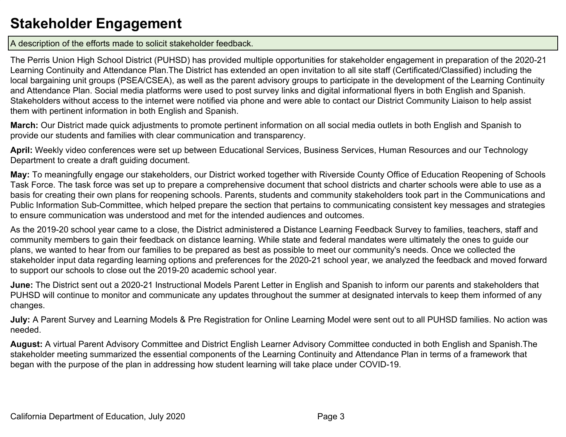# **Stakeholder Engagement**

A description of the efforts made to solicit stakeholder feedback.

The Perris Union High School District (PUHSD) has provided multiple opportunities for stakeholder engagement in preparation of the 2020-21 Learning Continuity and Attendance Plan.The District has extended an open invitation to all site staff (Certificated/Classified) including the local bargaining unit groups (PSEA/CSEA), as well as the parent advisory groups to participate in the development of the Learning Continuity and Attendance Plan. Social media platforms were used to post survey links and digital informational flyers in both English and Spanish. Stakeholders without access to the internet were notified via phone and were able to contact our District Community Liaison to help assist them with pertinent information in both English and Spanish.

**March:** Our District made quick adjustments to promote pertinent information on all social media outlets in both English and Spanish to provide our students and families with clear communication and transparency.

**April:** Weekly video conferences were set up between Educational Services, Business Services, Human Resources and our Technology Department to create a draft guiding document.

**May:** To meaningfully engage our stakeholders, our District worked together with Riverside County Office of Education Reopening of Schools Task Force. The task force was set up to prepare a comprehensive document that school districts and charter schools were able to use as a basis for creating their own plans for reopening schools. Parents, students and community stakeholders took part in the Communications and Public Information Sub-Committee, which helped prepare the section that pertains to communicating consistent key messages and strategies to ensure communication was understood and met for the intended audiences and outcomes.

As the 2019-20 school year came to a close, the District administered a Distance Learning Feedback Survey to families, teachers, staff and community members to gain their feedback on distance learning. While state and federal mandates were ultimately the ones to guide our plans, we wanted to hear from our families to be prepared as best as possible to meet our community's needs. Once we collected the stakeholder input data regarding learning options and preferences for the 2020-21 school year, we analyzed the feedback and moved forward to support our schools to close out the 2019-20 academic school year.

**June:** The District sent out a 2020-21 Instructional Models Parent Letter in English and Spanish to inform our parents and stakeholders that PUHSD will continue to monitor and communicate any updates throughout the summer at designated intervals to keep them informed of any changes.

**July:** A Parent Survey and Learning Models & Pre Registration for Online Learning Model were sent out to all PUHSD families. No action was needed.

**August:** A virtual Parent Advisory Committee and District English Learner Advisory Committee conducted in both English and Spanish.The stakeholder meeting summarized the essential components of the Learning Continuity and Attendance Plan in terms of a framework that began with the purpose of the plan in addressing how student learning will take place under COVID-19.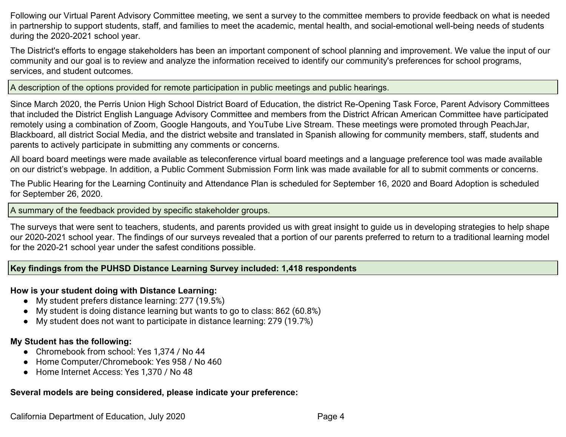Following our Virtual Parent Advisory Committee meeting, we sent a survey to the committee members to provide feedback on what is needed in partnership to support students, staff, and families to meet the academic, mental health, and social-emotional well-being needs of students during the 2020-2021 school year.

The District's efforts to engage stakeholders has been an important component of school planning and improvement. We value the input of our community and our goal is to review and analyze the information received to identify our community's preferences for school programs, services, and student outcomes.

A description of the options provided for remote participation in public meetings and public hearings.

Since March 2020, the Perris Union High School District Board of Education, the district Re-Opening Task Force, Parent Advisory Committees that included the District English Language Advisory Committee and members from the District African American Committee have participated remotely using a combination of Zoom, Google Hangouts, and YouTube Live Stream. These meetings were promoted through PeachJar, Blackboard, all district Social Media, and the district website and translated in Spanish allowing for community members, staff, students and parents to actively participate in submitting any comments or concerns.

All board board meetings were made available as teleconference virtual board meetings and a language preference tool was made available on our district's webpage. In addition, a Public Comment Submission Form link was made available for all to submit comments or concerns.

The Public Hearing for the Learning Continuity and Attendance Plan is scheduled for September 16, 2020 and Board Adoption is scheduled for September 26, 2020.

A summary of the feedback provided by specific stakeholder groups.

The surveys that were sent to teachers, students, and parents provided us with great insight to guide us in developing strategies to help shape our 2020-2021 school year. The findings of our surveys revealed that a portion of our parents preferred to return to a traditional learning model for the 2020-21 school year under the safest conditions possible.

## **Key findings from the PUHSD Distance Learning Survey included: 1,418 respondents**

## **How is your student doing with Distance Learning:**

- My student prefers distance learning: 277 (19.5%)
- My student is doing distance learning but wants to go to class: 862 (60.8%)
- My student does not want to participate in distance learning: 279 (19.7%)

## **My Student has the following:**

- Chromebook from school: Yes 1,374 / No 44
- Home Computer/Chromebook: Yes 958 / No 460
- Home Internet Access: Yes 1,370 / No 48

## **Several models are being considered, please indicate your preference:**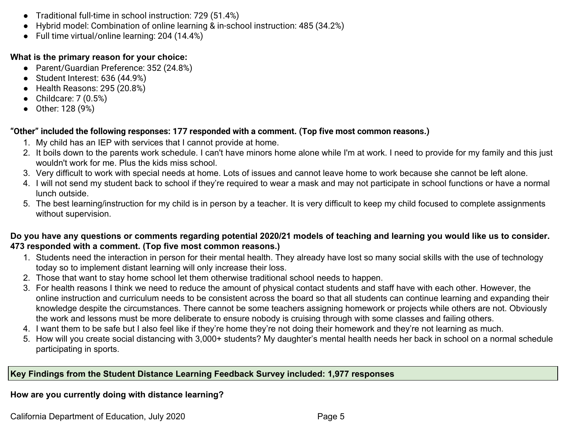- Traditional full-time in school instruction: 729 (51.4%)
- Hybrid model: Combination of online learning & in-school instruction: 485 (34.2%)
- Full time virtual/online learning: 204 (14.4%)

#### **What is the primary reason for your choice:**

- Parent/Guardian Preference: 352 (24.8%)
- Student Interest: 636 (44.9%)
- Health Reasons: 295 (20.8%)
- $\bullet$  Childcare: 7 (0.5%)
- Other: 128 (9%)

#### **"Other" included the following responses: 177 responded with a comment. (Top five most common reasons.)**

- 1. My child has an IEP with services that I cannot provide at home.
- 2. It boils down to the parents work schedule. I can't have minors home alone while I'm at work. I need to provide for my family and this just wouldn't work for me. Plus the kids miss school.
- 3. Very difficult to work with special needs at home. Lots of issues and cannot leave home to work because she cannot be left alone.
- 4. I will not send my student back to school if they're required to wear a mask and may not participate in school functions or have a normal lunch outside.
- 5. The best learning/instruction for my child is in person by a teacher. It is very difficult to keep my child focused to complete assignments without supervision.

#### **Do you have any questions or comments regarding potential 2020/21 models of teaching and learning you would like us to consider. 473 responded with a comment. (Top five most common reasons.)**

- 1. Students need the interaction in person for their mental health. They already have lost so many social skills with the use of technology today so to implement distant learning will only increase their loss.
- 2. Those that want to stay home school let them otherwise traditional school needs to happen.
- 3. For health reasons I think we need to reduce the amount of physical contact students and staff have with each other. However, the online instruction and curriculum needs to be consistent across the board so that all students can continue learning and expanding their knowledge despite the circumstances. There cannot be some teachers assigning homework or projects while others are not. Obviously the work and lessons must be more deliberate to ensure nobody is cruising through with some classes and failing others.
- 4. I want them to be safe but I also feel like if they're home they're not doing their homework and they're not learning as much.
- 5. How will you create social distancing with 3,000+ students? My daughter's mental health needs her back in school on a normal schedule participating in sports.

#### **Key Findings from the Student Distance Learning Feedback Survey included: 1,977 responses**

#### **How are you currently doing with distance learning?**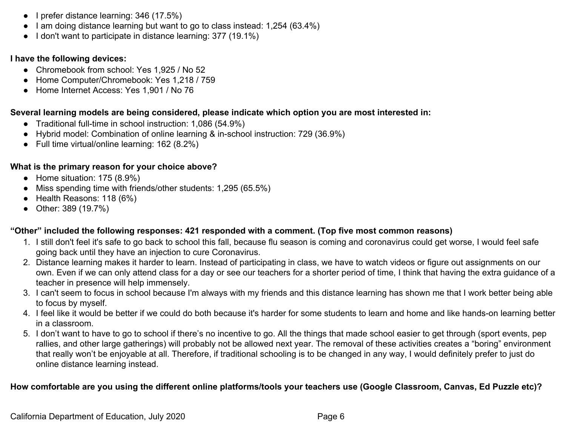- I prefer distance learning: 346 (17.5%)
- I am doing distance learning but want to go to class instead: 1,254 (63.4%)
- I don't want to participate in distance learning: 377 (19.1%)

## **I have the following devices:**

- Chromebook from school: Yes 1,925 / No 52
- Home Computer/Chromebook: Yes 1,218 / 759
- Home Internet Access: Yes 1,901 / No 76

## **Several learning models are being considered, please indicate which option you are most interested in:**

- Traditional full-time in school instruction: 1,086 (54.9%)
- Hybrid model: Combination of online learning & in-school instruction: 729 (36.9%)
- Full time virtual/online learning: 162 (8.2%)

## **What is the primary reason for your choice above?**

- Home situation: 175 (8.9%)
- Miss spending time with friends/other students: 1,295 (65.5%)
- Health Reasons: 118 (6%)
- Other: 389 (19.7%)

## **"Other" included the following responses: 421 responded with a comment. (Top five most common reasons)**

- 1. I still don't feel it's safe to go back to school this fall, because flu season is coming and coronavirus could get worse, I would feel safe going back until they have an injection to cure Coronavirus.
- 2. Distance learning makes it harder to learn. Instead of participating in class, we have to watch videos or figure out assignments on our own. Even if we can only attend class for a day or see our teachers for a shorter period of time, I think that having the extra guidance of a teacher in presence will help immensely.
- 3. I can't seem to focus in school because I'm always with my friends and this distance learning has shown me that I work better being able to focus by myself.
- 4. I feel like it would be better if we could do both because it's harder for some students to learn and home and like hands-on learning better in a classroom.
- 5. I don't want to have to go to school if there's no incentive to go. All the things that made school easier to get through (sport events, pep rallies, and other large gatherings) will probably not be allowed next year. The removal of these activities creates a "boring" environment that really won't be enjoyable at all. Therefore, if traditional schooling is to be changed in any way, I would definitely prefer to just do online distance learning instead.

## **How comfortable are you using the different online platforms/tools your teachers use (Google Classroom, Canvas, Ed Puzzle etc)?**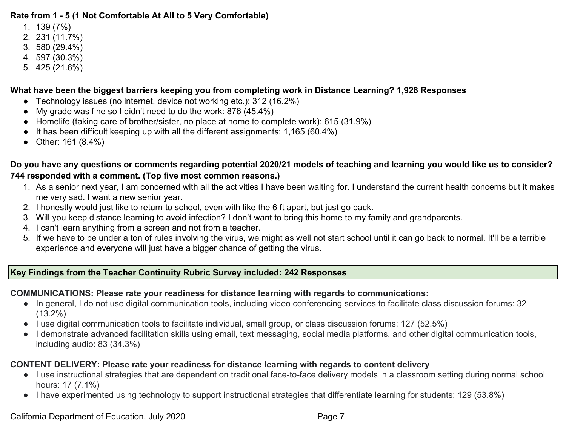#### **Rate from 1 - 5 (1 Not Comfortable At All to 5 Very Comfortable)**

- 1. 139 (7%)
- 2. 231 (11.7%)
- 3. 580 (29.4%)
- 4. 597 (30.3%)
- 5. 425 (21.6%)

## **What have been the biggest barriers keeping you from completing work in Distance Learning? 1,928 Responses**

- Technology issues (no internet, device not working etc.): 312 (16.2%)
- My grade was fine so I didn't need to do the work: 876 (45.4%)
- Homelife (taking care of brother/sister, no place at home to complete work): 615 (31.9%)
- It has been difficult keeping up with all the different assignments: 1,165 (60.4%)
- Other: 161 (8.4%)

## **Do you have any questions or comments regarding potential 2020/21 models of teaching and learning you would like us to consider? 744 responded with a comment. (Top five most common reasons.)**

- 1. As a senior next year, I am concerned with all the activities I have been waiting for. I understand the current health concerns but it makes me very sad. I want a new senior year.
- 2. I honestly would just like to return to school, even with like the 6 ft apart, but just go back.
- 3. Will you keep distance learning to avoid infection? I don't want to bring this home to my family and grandparents.
- 4. I can't learn anything from a screen and not from a teacher.
- 5. If we have to be under a ton of rules involving the virus, we might as well not start school until it can go back to normal. It'll be a terrible experience and everyone will just have a bigger chance of getting the virus.

## **Key Findings from the Teacher Continuity Rubric Survey included: 242 Responses**

#### **COMMUNICATIONS: Please rate your readiness for distance learning with regards to communications:**

- In general, I do not use digital communication tools, including video conferencing services to facilitate class discussion forums: 32 (13.2%)
- I use digital communication tools to facilitate individual, small group, or class discussion forums: 127 (52.5%)
- I demonstrate advanced facilitation skills using email, text messaging, social media platforms, and other digital communication tools, including audio: 83 (34.3%)

## **CONTENT DELIVERY: Please rate your readiness for distance learning with regards to content delivery**

- I use instructional strategies that are dependent on traditional face-to-face delivery models in a classroom setting during normal school hours: 17 (7.1%)
- I have experimented using technology to support instructional strategies that differentiate learning for students: 129 (53.8%)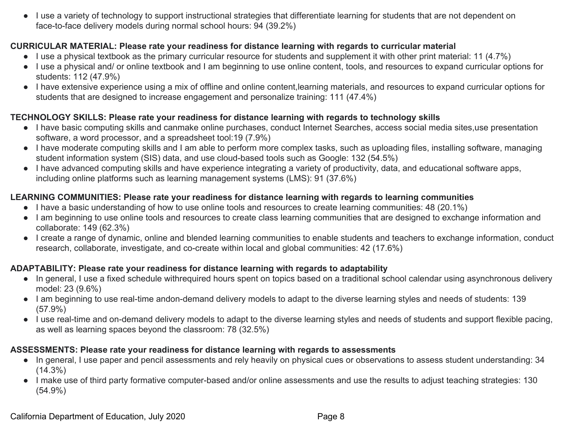● I use a variety of technology to support instructional strategies that differentiate learning for students that are not dependent on face-to-face delivery models during normal school hours: 94 (39.2%)

### **CURRICULAR MATERIAL: Please rate your readiness for distance learning with regards to curricular material**

- I use a physical textbook as the primary curricular resource for students and supplement it with other print material: 11 (4.7%)
- I use a physical and/ or online textbook and I am beginning to use online content, tools, and resources to expand curricular options for students: 112 (47.9%)
- I have extensive experience using a mix of offline and online content,learning materials, and resources to expand curricular options for students that are designed to increase engagement and personalize training: 111 (47.4%)

#### **TECHNOLOGY SKILLS: Please rate your readiness for distance learning with regards to technology skills**

- I have basic computing skills and canmake online purchases, conduct Internet Searches, access social media sites,use presentation software, a word processor, and a spreadsheet tool:19 (7.9%)
- I have moderate computing skills and I am able to perform more complex tasks, such as uploading files, installing software, managing student information system (SIS) data, and use cloud-based tools such as Google: 132 (54.5%)
- I have advanced computing skills and have experience integrating a variety of productivity, data, and educational software apps, including online platforms such as learning management systems (LMS): 91 (37.6%)

## **LEARNING COMMUNITIES: Please rate your readiness for distance learning with regards to learning communities**

- I have a basic understanding of how to use online tools and resources to create learning communities: 48 (20.1%)
- I am beginning to use online tools and resources to create class learning communities that are designed to exchange information and collaborate: 149 (62.3%)
- I create a range of dynamic, online and blended learning communities to enable students and teachers to exchange information, conduct research, collaborate, investigate, and co-create within local and global communities: 42 (17.6%)

## **ADAPTABILITY: Please rate your readiness for distance learning with regards to adaptability**

- In general, I use a fixed schedule withrequired hours spent on topics based on a traditional school calendar using asynchronous delivery model: 23 (9.6%)
- I am beginning to use real-time andon-demand delivery models to adapt to the diverse learning styles and needs of students: 139 (57.9%)
- I use real-time and on-demand delivery models to adapt to the diverse learning styles and needs of students and support flexible pacing, as well as learning spaces beyond the classroom: 78 (32.5%)

#### **ASSESSMENTS: Please rate your readiness for distance learning with regards to assessments**

- In general, I use paper and pencil assessments and rely heavily on physical cues or observations to assess student understanding: 34  $(14.3\%)$
- I make use of third party formative computer-based and/or online assessments and use the results to adjust teaching strategies: 130 (54.9%)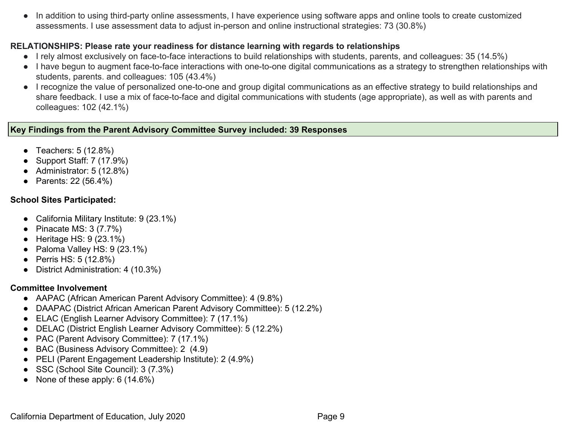● In addition to using third-party online assessments, I have experience using software apps and online tools to create customized assessments. I use assessment data to adjust in-person and online instructional strategies: 73 (30.8%)

#### **RELATIONSHIPS: Please rate your readiness for distance learning with regards to relationships**

- I rely almost exclusively on face-to-face interactions to build relationships with students, parents, and colleagues: 35 (14.5%)
- I have begun to augment face-to-face interactions with one-to-one digital communications as a strategy to strengthen relationships with students, parents. and colleagues: 105 (43.4%)
- I recognize the value of personalized one-to-one and group digital communications as an effective strategy to build relationships and share feedback. I use a mix of face-to-face and digital communications with students (age appropriate), as well as with parents and colleagues: 102 (42.1%)

#### **Key Findings from the Parent Advisory Committee Survey included: 39 Responses**

- Teachers: 5 (12.8%)
- Support Staff: 7 (17.9%)
- Administrator: 5 (12.8%)
- Parents: 22 (56.4%)

## **School Sites Participated:**

- California Military Institute: 9 (23.1%)
- Pinacate MS:  $3(7.7%)$
- $\bullet$  Heritage HS: 9 (23.1%)
- Paloma Valley HS:  $9(23.1\%)$
- Perris HS: 5 (12.8%)
- District Administration: 4 (10.3%)

## **Committee Involvement**

- AAPAC (African American Parent Advisory Committee): 4 (9.8%)
- DAAPAC (District African American Parent Advisory Committee): 5 (12.2%)
- ELAC (English Learner Advisory Committee): 7 (17.1%)
- DELAC (District English Learner Advisory Committee): 5 (12.2%)
- PAC (Parent Advisory Committee): 7 (17.1%)
- BAC (Business Advisory Committee): 2 (4.9)
- PELI (Parent Engagement Leadership Institute): 2 (4.9%)
- SSC (School Site Council): 3 (7.3%)
- None of these apply:  $6(14.6\%)$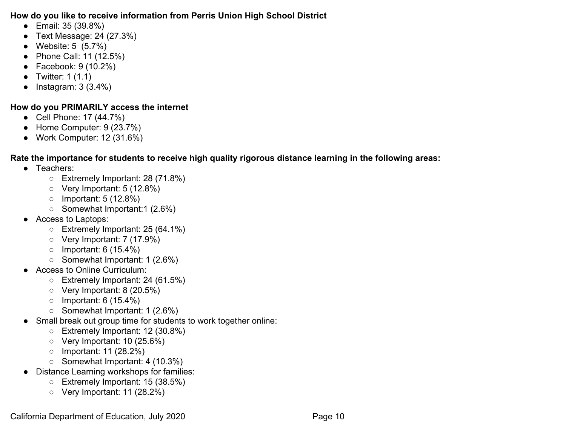#### **How do you like to receive information from Perris Union High School District**

- Email: 35 (39.8%)
- Text Message: 24 (27.3%)
- Website: 5 (5.7%)
- Phone Call: 11 (12.5%)
- Facebook: 9 (10.2%)
- Twitter:  $1(1.1)$
- $\bullet$  Instagram: 3 (3.4%)

## **How do you PRIMARILY access the internet**

- Cell Phone: 17 (44.7%)
- Home Computer: 9 (23.7%)
- Work Computer: 12 (31.6%)

## **Rate the importance for students to receive high quality rigorous distance learning in the following areas:**

- Teachers:
	- Extremely Important: 28 (71.8%)
	- Very Important: 5 (12.8%)
	- Important: 5 (12.8%)
	- Somewhat Important:1 (2.6%)
- Access to Laptops:
	- Extremely Important: 25 (64.1%)
	- Very Important: 7 (17.9%)
	- $\circ$  Important: 6 (15.4%)
	- Somewhat Important: 1 (2.6%)
- Access to Online Curriculum:
	- Extremely Important: 24 (61.5%)
	- Very Important: 8 (20.5%)
	- $\circ$  Important: 6 (15.4%)
	- Somewhat Important: 1 (2.6%)
- Small break out group time for students to work together online:
	- Extremely Important: 12 (30.8%)
	- Very Important: 10 (25.6%)
	- Important: 11 (28.2%)
	- Somewhat Important: 4 (10.3%)
- Distance Learning workshops for families:
	- Extremely Important: 15 (38.5%)
	- Very Important: 11 (28.2%)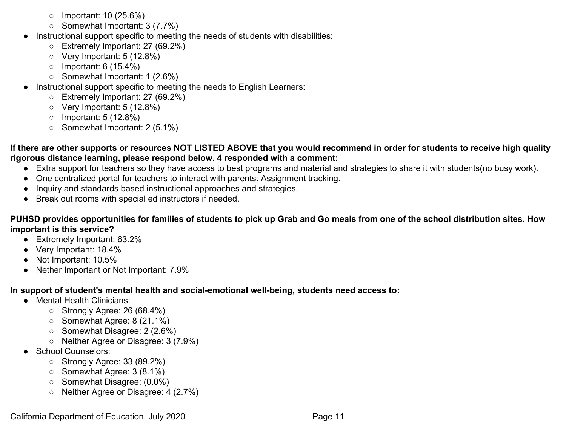- $\circ$  Important: 10 (25.6%)
- Somewhat Important: 3 (7.7%)
- Instructional support specific to meeting the needs of students with disabilities:
	- Extremely Important: 27 (69.2%)
	- Very Important: 5 (12.8%)
	- $\circ$  Important: 6 (15.4%)
	- Somewhat Important: 1 (2.6%)
- Instructional support specific to meeting the needs to English Learners:
	- Extremely Important: 27 (69.2%)
	- Very Important: 5 (12.8%)
	- Important: 5 (12.8%)
	- Somewhat Important: 2 (5.1%)
- **If there are other supports or resources NOT LISTED ABOVE that you would recommend in order for students to receive high quality rigorous distance learning, please respond below. 4 responded with a comment:**
	- Extra support for teachers so they have access to best programs and material and strategies to share it with students(no busy work).
	- One centralized portal for teachers to interact with parents. Assignment tracking.
	- Inquiry and standards based instructional approaches and strategies.
	- Break out rooms with special ed instructors if needed.

**PUHSD provides opportunities for families of students to pick up Grab and Go meals from one of the school distribution sites. How important is this service?**

- Extremely Important: 63.2%
- Very Important: 18.4%
- Not Important: 10.5%
- Nether Important or Not Important: 7.9%

**In support of student's mental health and social-emotional well-being, students need access to:**

- Mental Health Clinicians:
	- Strongly Agree: 26 (68.4%)
	- Somewhat Agree: 8 (21.1%)
	- Somewhat Disagree: 2 (2.6%)
	- Neither Agree or Disagree: 3 (7.9%)
- School Counselors:
	- Strongly Agree: 33 (89.2%)
	- Somewhat Agree: 3 (8.1%)
	- Somewhat Disagree: (0.0%)
	- Neither Agree or Disagree: 4 (2.7%)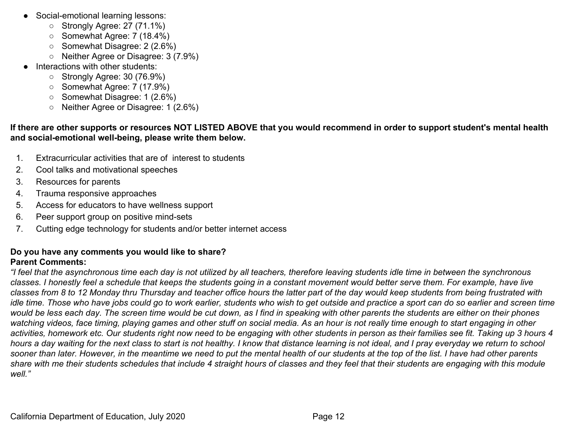- Social-emotional learning lessons:
	- Strongly Agree: 27 (71.1%)
	- Somewhat Agree: 7 (18.4%)
	- Somewhat Disagree: 2 (2.6%)
	- Neither Agree or Disagree: 3 (7.9%)
- Interactions with other students:
	- Strongly Agree: 30 (76.9%)
	- Somewhat Agree: 7 (17.9%)
	- Somewhat Disagree: 1 (2.6%)
	- Neither Agree or Disagree: 1 (2.6%)

#### **If there are other supports or resources NOT LISTED ABOVE that you would recommend in order to support student's mental health and social-emotional well-being, please write them below.**

- 1. Extracurricular activities that are of interest to students
- 2. Cool talks and motivational speeches
- 3. Resources for parents
- 4. Trauma responsive approaches
- 5. Access for educators to have wellness support
- 6. Peer support group on positive mind-sets
- 7. Cutting edge technology for students and/or better internet access

#### **Do you have any comments you would like to share? Parent Comments:**

*"I feel that the asynchronous time each day is not utilized by all teachers, therefore leaving students idle time in between the synchronous classes. I honestly feel a schedule that keeps the students going in a constant movement would better serve them. For example, have live classes from 8 to 12 Monday thru Thursday and teacher office hours the latter part of the day would keep students from being frustrated with idle time. Those who have jobs could go to work earlier, students who wish to get outside and practice a sport can do so earlier and screen time would be less each day. The screen time would be cut down, as I find in speaking with other parents the students are either on their phones watching videos, face timing, playing games and other stuff on social media. As an hour is not really time enough to start engaging in other activities, homework etc. Our students right now need to be engaging with other students in person as their families see fit. Taking up 3 hours 4 hours a day waiting for the next class to start is not healthy. I know that distance learning is not ideal, and I pray everyday we return to school sooner than later. However, in the meantime we need to put the mental health of our students at the top of the list. I have had other parents share with me their students schedules that include 4 straight hours of classes and they feel that their students are engaging with this module well."*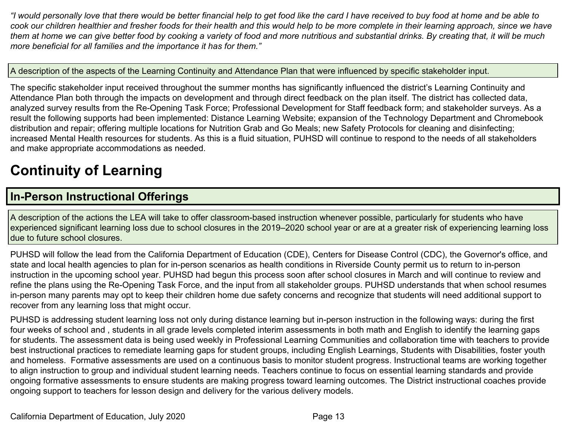*"I would personally love that there would be better financial help to get food like the card I have received to buy food at home and be able to cook our children healthier and fresher foods for their health and this would help to be more complete in their learning approach, since we have them at home we can give better food by cooking a variety of food and more nutritious and substantial drinks. By creating that, it will be much more beneficial for all families and the importance it has for them."*

#### A description of the aspects of the Learning Continuity and Attendance Plan that were influenced by specific stakeholder input.

The specific stakeholder input received throughout the summer months has significantly influenced the district's Learning Continuity and Attendance Plan both through the impacts on development and through direct feedback on the plan itself. The district has collected data, analyzed survey results from the Re-Opening Task Force; Professional Development for Staff feedback form; and stakeholder surveys. As a result the following supports had been implemented: Distance Learning Website; expansion of the Technology Department and Chromebook distribution and repair; offering multiple locations for Nutrition Grab and Go Meals; new Safety Protocols for cleaning and disinfecting; increased Mental Health resources for students. As this is a fluid situation, PUHSD will continue to respond to the needs of all stakeholders and make appropriate accommodations as needed.

# **Continuity of Learning**

## **In-Person Instructional Offerings**

A description of the actions the LEA will take to offer classroom-based instruction whenever possible, particularly for students who have experienced significant learning loss due to school closures in the 2019–2020 school year or are at a greater risk of experiencing learning loss due to future school closures.

PUHSD will follow the lead from the California Department of Education (CDE), Centers for Disease Control (CDC), the Governor's office, and state and local health agencies to plan for in-person scenarios as health conditions in Riverside County permit us to return to in-person instruction in the upcoming school year. PUHSD had begun this process soon after school closures in March and will continue to review and refine the plans using the Re-Opening Task Force, and the input from all stakeholder groups. PUHSD understands that when school resumes in-person many parents may opt to keep their children home due safety concerns and recognize that students will need additional support to recover from any learning loss that might occur.

PUHSD is addressing student learning loss not only during distance learning but in-person instruction in the following ways: during the first four weeks of school and , students in all grade levels completed interim assessments in both math and English to identify the learning gaps for students. The assessment data is being used weekly in Professional Learning Communities and collaboration time with teachers to provide best instructional practices to remediate learning gaps for student groups, including English Learnings, Students with Disabilities, foster youth and homeless. Formative assessments are used on a continuous basis to monitor student progress. Instructional teams are working together to align instruction to group and individual student learning needs. Teachers continue to focus on essential learning standards and provide ongoing formative assessments to ensure students are making progress toward learning outcomes. The District instructional coaches provide ongoing support to teachers for lesson design and delivery for the various delivery models.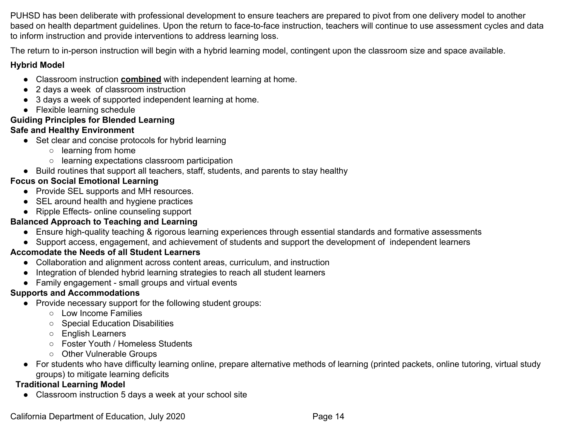PUHSD has been deliberate with professional development to ensure teachers are prepared to pivot from one delivery model to another based on health department guidelines. Upon the return to face-to-face instruction, teachers will continue to use assessment cycles and data to inform instruction and provide interventions to address learning loss.

The return to in-person instruction will begin with a hybrid learning model, contingent upon the classroom size and space available.

### **Hybrid Model**

- Classroom instruction **combined** with independent learning at home.
- 2 days a week of classroom instruction
- 3 days a week of supported independent learning at home.
- Flexible learning schedule

## **Guiding Principles for Blended Learning**

## **Safe and Healthy Environment**

- Set clear and concise protocols for hybrid learning
	- learning from home
	- learning expectations classroom participation
- Build routines that support all teachers, staff, students, and parents to stay healthy

## **Focus on Social Emotional Learning**

- Provide SEL supports and MH resources.
- SEL around health and hygiene practices
- Ripple Effects- online counseling support

## **Balanced Approach to Teaching and Learning**

- Ensure high-quality teaching & rigorous learning experiences through essential standards and formative assessments
- Support access, engagement, and achievement of students and support the development of independent learners

## **Accomodate the Needs of all Student Learners**

- Collaboration and alignment across content areas, curriculum, and instruction
- Integration of blended hybrid learning strategies to reach all student learners
- Family engagement small groups and virtual events

## **Supports and Accommodations**

- Provide necessary support for the following student groups:
	- Low Income Families
	- Special Education Disabilities
	- English Learners
	- Foster Youth / Homeless Students
	- Other Vulnerable Groups
- For students who have difficulty learning online, prepare alternative methods of learning (printed packets, online tutoring, virtual study groups) to mitigate learning deficits

## **Traditional Learning Model**

● Classroom instruction 5 days a week at your school site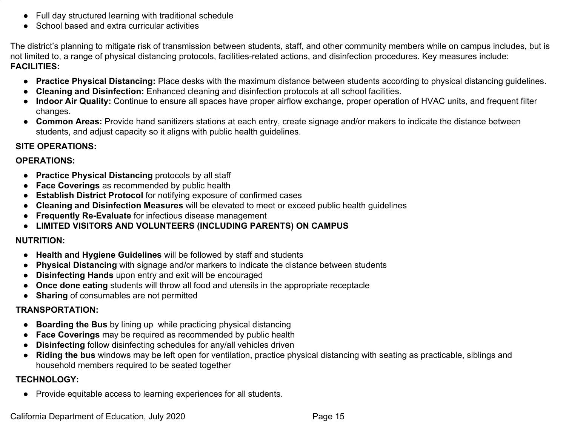- Full day structured learning with traditional schedule
- School based and extra curricular activities

The district's planning to mitigate risk of transmission between students, staff, and other community members while on campus includes, but is not limited to, a range of physical distancing protocols, facilities-related actions, and disinfection procedures. Key measures include: **FACILITIES:**

- **Practice Physical Distancing:** Place desks with the maximum distance between students according to physical distancing guidelines.
- **Cleaning and Disinfection:** Enhanced cleaning and disinfection protocols at all school facilities.
- **Indoor Air Quality:** Continue to ensure all spaces have proper airflow exchange, proper operation of HVAC units, and frequent filter changes.
- **Common Areas:** Provide hand sanitizers stations at each entry, create signage and/or makers to indicate the distance between students, and adjust capacity so it aligns with public health guidelines.

## **SITE OPERATIONS:**

#### **OPERATIONS:**

- **Practice Physical Distancing** protocols by all staff
- **Face Coverings** as recommended by public health
- **Establish District Protocol** for notifying exposure of confirmed cases
- **Cleaning and Disinfection Measures** will be elevated to meet or exceed public health guidelines
- **Frequently Re-Evaluate** for infectious disease management
- **● LIMITED VISITORS AND VOLUNTEERS (INCLUDING PARENTS) ON CAMPUS**

#### **NUTRITION:**

- **Health and Hygiene Guidelines** will be followed by staff and students
- **Physical Distancing** with signage and/or markers to indicate the distance between students
- **Disinfecting Hands** upon entry and exit will be encouraged
- **Once done eating** students will throw all food and utensils in the appropriate receptacle
- **Sharing** of consumables are not permitted

#### **TRANSPORTATION:**

- **Boarding the Bus** by lining up while practicing physical distancing
- **Face Coverings** may be required as recommended by public health
- **Disinfecting** follow disinfecting schedules for any/all vehicles driven
- **Riding the bus** windows may be left open for ventilation, practice physical distancing with seating as practicable, siblings and household members required to be seated together

## **TECHNOLOGY:**

● Provide equitable access to learning experiences for all students.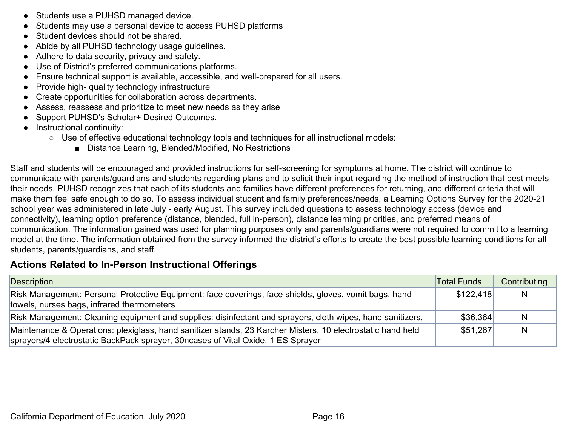- Students use a PUHSD managed device.
- Students may use a personal device to access PUHSD platforms
- Student devices should not be shared.
- Abide by all PUHSD technology usage guidelines.
- Adhere to data security, privacy and safety.
- Use of District's preferred communications platforms.
- Ensure technical support is available, accessible, and well-prepared for all users.
- Provide high- quality technology infrastructure
- Create opportunities for collaboration across departments.
- Assess, reassess and prioritize to meet new needs as they arise
- Support PUHSD's Scholar+ Desired Outcomes.
- Instructional continuity:
	- Use of effective educational technology tools and techniques for all instructional models:
		- Distance Learning, Blended/Modified, No Restrictions

Staff and students will be encouraged and provided instructions for self-screening for symptoms at home. The district will continue to communicate with parents/guardians and students regarding plans and to solicit their input regarding the method of instruction that best meets their needs. PUHSD recognizes that each of its students and families have different preferences for returning, and different criteria that will make them feel safe enough to do so. To assess individual student and family preferences/needs, a Learning Options Survey for the 2020-21 school year was administered in late July - early August. This survey included questions to assess technology access (device and connectivity), learning option preference (distance, blended, full in-person), distance learning priorities, and preferred means of communication. The information gained was used for planning purposes only and parents/guardians were not required to commit to a learning model at the time. The information obtained from the survey informed the district's efforts to create the best possible learning conditions for all students, parents/guardians, and staff.

## **Actions Related to In-Person Instructional Offerings**

| Description                                                                                                                                                                                      | Total Funds | Contributing |
|--------------------------------------------------------------------------------------------------------------------------------------------------------------------------------------------------|-------------|--------------|
| Risk Management: Personal Protective Equipment: face coverings, face shields, gloves, vomit bags, hand<br>towels, nurses bags, infrared thermometers                                             | \$122.418   | N            |
| Risk Management: Cleaning equipment and supplies: disinfectant and sprayers, cloth wipes, hand sanitizers,                                                                                       | \$36,364    | N            |
| Maintenance & Operations: plexiglass, hand sanitizer stands, 23 Karcher Misters, 10 electrostatic hand held<br>sprayers/4 electrostatic BackPack sprayer, 30 ncases of Vital Oxide, 1 ES Sprayer | \$51.267    | N            |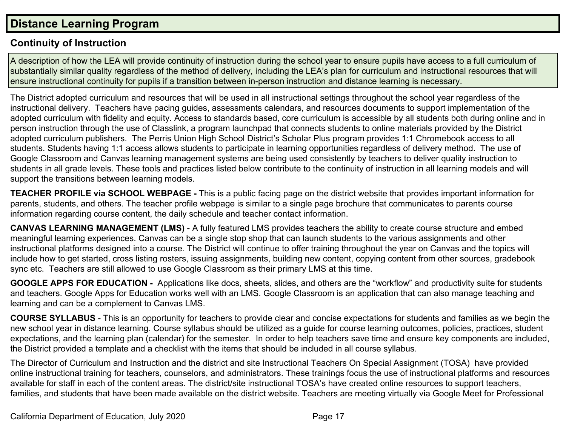## **Distance Learning Program**

## **Continuity of Instruction**

A description of how the LEA will provide continuity of instruction during the school year to ensure pupils have access to a full curriculum of substantially similar quality regardless of the method of delivery, including the LEA's plan for curriculum and instructional resources that will ensure instructional continuity for pupils if a transition between in-person instruction and distance learning is necessary.

The District adopted curriculum and resources that will be used in all instructional settings throughout the school year regardless of the instructional delivery. Teachers have pacing guides, assessments calendars, and resources documents to support implementation of the adopted curriculum with fidelity and equity. Access to standards based, core curriculum is accessible by all students both during online and in person instruction through the use of Classlink, a program launchpad that connects students to online materials provided by the District adopted curriculum publishers. The Perris Union High School District's Scholar Plus program provides 1:1 Chromebook access to all students. Students having 1:1 access allows students to participate in learning opportunities regardless of delivery method. The use of Google Classroom and Canvas learning management systems are being used consistently by teachers to deliver quality instruction to students in all grade levels. These tools and practices listed below contribute to the continuity of instruction in all learning models and will support the transitions between learning models.

**TEACHER PROFILE via SCHOOL WEBPAGE -** This is a public facing page on the district website that provides important information for parents, students, and others. The teacher profile webpage is similar to a single page brochure that communicates to parents course information regarding course content, the daily schedule and teacher contact information.

**CANVAS LEARNING MANAGEMENT (LMS)** - A fully featured LMS provides teachers the ability to create course structure and embed meaningful learning experiences. Canvas can be a single stop shop that can launch students to the various assignments and other instructional platforms designed into a course. The District will continue to offer training throughout the year on Canvas and the topics will include how to get started, cross listing rosters, issuing assignments, building new content, copying content from other sources, gradebook sync etc. Teachers are still allowed to use Google Classroom as their primary LMS at this time.

**GOOGLE APPS FOR EDUCATION -** Applications like docs, sheets, slides, and others are the "workflow" and productivity suite for students and teachers. Google Apps for Education works well with an LMS. Google Classroom is an application that can also manage teaching and learning and can be a complement to Canvas LMS.

**COURSE SYLLABUS** - This is an opportunity for teachers to provide clear and concise expectations for students and families as we begin the new school year in distance learning. Course syllabus should be utilized as a guide for course learning outcomes, policies, practices, student expectations, and the learning plan (calendar) for the semester. In order to help teachers save time and ensure key components are included, the District provided a template and a checklist with the items that should be included in all course syllabus.

The Director of Curriculum and Instruction and the district and site Instructional Teachers On Special Assignment (TOSA) have provided online instructional training for teachers, counselors, and administrators. These trainings focus the use of instructional platforms and resources available for staff in each of the content areas. The district/site instructional TOSA's have created online resources to support teachers, families, and students that have been made available on the district website. Teachers are meeting virtually via Google Meet for Professional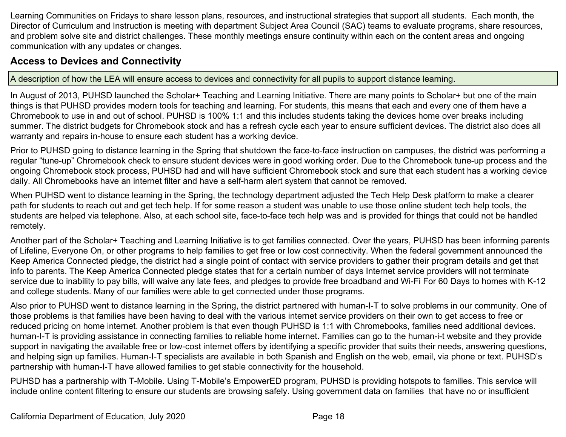Learning Communities on Fridays to share lesson plans, resources, and instructional strategies that support all students. Each month, the Director of Curriculum and Instruction is meeting with department Subject Area Council (SAC) teams to evaluate programs, share resources, and problem solve site and district challenges. These monthly meetings ensure continuity within each on the content areas and ongoing communication with any updates or changes.

## **Access to Devices and Connectivity**

A description of how the LEA will ensure access to devices and connectivity for all pupils to support distance learning.

In August of 2013, PUHSD launched the Scholar+ Teaching and Learning Initiative. There are many points to Scholar+ but one of the main things is that PUHSD provides modern tools for teaching and learning. For students, this means that each and every one of them have a Chromebook to use in and out of school. PUHSD is 100% 1:1 and this includes students taking the devices home over breaks including summer. The district budgets for Chromebook stock and has a refresh cycle each year to ensure sufficient devices. The district also does all warranty and repairs in-house to ensure each student has a working device.

Prior to PUHSD going to distance learning in the Spring that shutdown the face-to-face instruction on campuses, the district was performing a regular "tune-up" Chromebook check to ensure student devices were in good working order. Due to the Chromebook tune-up process and the ongoing Chromebook stock process, PUHSD had and will have sufficient Chromebook stock and sure that each student has a working device daily. All Chromebooks have an internet filter and have a self-harm alert system that cannot be removed.

When PUHSD went to distance learning in the Spring, the technology department adjusted the Tech Help Desk platform to make a clearer path for students to reach out and get tech help. If for some reason a student was unable to use those online student tech help tools, the students are helped via telephone. Also, at each school site, face-to-face tech help was and is provided for things that could not be handled remotely.

Another part of the Scholar+ Teaching and Learning Initiative is to get families connected. Over the years, PUHSD has been informing parents of Lifeline, Everyone On, or other programs to help families to get free or low cost connectivity. When the federal government announced the Keep America Connected pledge, the district had a single point of contact with service providers to gather their program details and get that info to parents. The Keep America Connected pledge states that for a certain number of days Internet service providers will not terminate service due to inability to pay bills, will waive any late fees, and pledges to provide free broadband and Wi-Fi For 60 Days to homes with K-12 and college students. Many of our families were able to get connected under those programs.

Also prior to PUHSD went to distance learning in the Spring, the district partnered with human-I-T to solve problems in our community. One of those problems is that families have been having to deal with the various internet service providers on their own to get access to free or reduced pricing on home internet. Another problem is that even though PUHSD is 1:1 with Chromebooks, families need additional devices. human-I-T is providing assistance in connecting families to reliable home internet. Families can go to the human-i-t website and they provide support in navigating the available free or low-cost internet offers by identifying a specific provider that suits their needs, answering questions, and helping sign up families. Human-I-T specialists are available in both Spanish and English on the web, email, via phone or text. PUHSD's partnership with human-I-T have allowed families to get stable connectivity for the household.

PUHSD has a partnership with T-Mobile. Using T-Mobile's EmpowerED program, PUHSD is providing hotspots to families. This service will include online content filtering to ensure our students are browsing safely. Using government data on families that have no or insufficient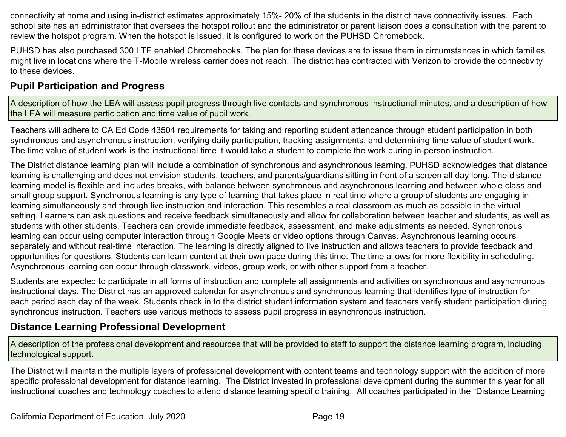connectivity at home and using in-district estimates approximately 15%- 20% of the students in the district have connectivity issues. Each school site has an administrator that oversees the hotspot rollout and the administrator or parent liaison does a consultation with the parent to review the hotspot program. When the hotspot is issued, it is configured to work on the PUHSD Chromebook.

PUHSD has also purchased 300 LTE enabled Chromebooks. The plan for these devices are to issue them in circumstances in which families might live in locations where the T-Mobile wireless carrier does not reach. The district has contracted with Verizon to provide the connectivity to these devices.

## **Pupil Participation and Progress**

A description of how the LEA will assess pupil progress through live contacts and synchronous instructional minutes, and a description of how the LEA will measure participation and time value of pupil work.

Teachers will adhere to CA Ed Code 43504 requirements for taking and reporting student attendance through student participation in both synchronous and asynchronous instruction, verifying daily participation, tracking assignments, and determining time value of student work. The time value of student work is the instructional time it would take a student to complete the work during in-person instruction.

The District distance learning plan will include a combination of synchronous and asynchronous learning. PUHSD acknowledges that distance learning is challenging and does not envision students, teachers, and parents/guardians sitting in front of a screen all day long. The distance learning model is flexible and includes breaks, with balance between synchronous and asynchronous learning and between whole class and small group support. Synchronous learning is any type of learning that takes place in real time where a group of students are engaging in learning simultaneously and through live instruction and interaction. This resembles a real classroom as much as possible in the virtual setting. Learners can ask questions and receive feedback simultaneously and allow for collaboration between teacher and students, as well as students with other students. Teachers can provide immediate feedback, assessment, and make adjustments as needed. Synchronous learning can occur using computer interaction through Google Meets or video options through Canvas. Asynchronous learning occurs separately and without real-time interaction. The learning is directly aligned to live instruction and allows teachers to provide feedback and opportunities for questions. Students can learn content at their own pace during this time. The time allows for more flexibility in scheduling. Asynchronous learning can occur through classwork, videos, group work, or with other support from a teacher.

Students are expected to participate in all forms of instruction and complete all assignments and activities on synchronous and asynchronous instructional days. The District has an approved calendar for asynchronous and synchronous learning that identifies type of instruction for each period each day of the week. Students check in to the district student information system and teachers verify student participation during synchronous instruction. Teachers use various methods to assess pupil progress in asynchronous instruction.

## **Distance Learning Professional Development**

A description of the professional development and resources that will be provided to staff to support the distance learning program, including technological support.

The District will maintain the multiple layers of professional development with content teams and technology support with the addition of more specific professional development for distance learning. The District invested in professional development during the summer this year for all instructional coaches and technology coaches to attend distance learning specific training. All coaches participated in the "Distance Learning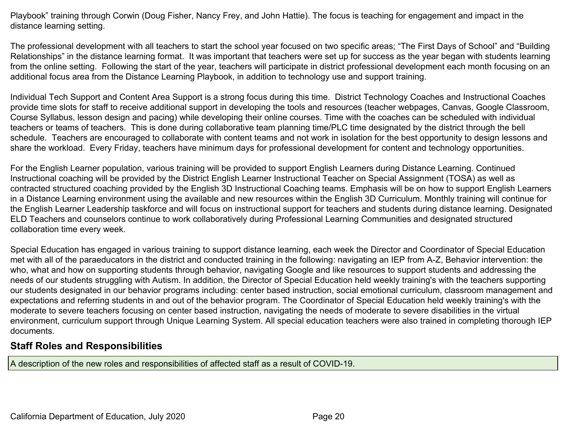Playbook" training through Corwin (Doug Fisher, Nancy Frey, and John Hattie). The focus is teaching for engagement and impact in the distance learning setting.

The professional development with all teachers to start the school year focused on two specific areas; "The First Days of School" and "Building Relationships" in the distance learning format. It was important that teachers were set up for success as the year began with students learning from the online setting. Following the start of the year, teachers will participate in district professional development each month focusing on an additional focus area from the Distance Learning Playbook, in addition to technology use and support training.

Individual Tech Support and Content Area Support is a strong focus during this time. District Technology Coaches and Instructional Coaches provide time slots for staff to receive additional support in developing the tools and resources (teacher webpages, Canvas, Google Classroom, Course Syllabus, lesson design and pacing) while developing their online courses. Time with the coaches can be scheduled with individual teachers or teams of teachers. This is done during collaborative team planning time/PLC time designated by the district through the bell schedule. Teachers are encouraged to collaborate with content teams and not work in isolation for the best opportunity to design lessons and share the workload. Every Friday, teachers have minimum days for professional development for content and technology opportunities.

For the English Learner population, various training will be provided to support English Learners during Distance Learning. Continued Instructional coaching will be provided by the District English Learner Instructional Teacher on Special Assignment (TOSA) as well as contracted structured coaching provided by the English 3D Instructional Coaching teams. Emphasis will be on how to support English Learners in a Distance Learning environment using the available and new resources within the English 3D Curriculum. Monthly training will continue for the English Learner Leadership taskforce and will focus on instructional support for teachers and students during distance learning. Designated ELD Teachers and counselors continue to work collaboratively during Professional Learning Communities and designated structured collaboration time every week.

Special Education has engaged in various training to support distance learning, each week the Director and Coordinator of Special Education met with all of the paraeducators in the district and conducted training in the following: navigating an IEP from A-Z, Behavior intervention: the who, what and how on supporting students through behavior, navigating Google and like resources to support students and addressing the needs of our students struggling with Autism. In addition, the Director of Special Education held weekly training's with the teachers supporting our students designated in our behavior programs including: center based instruction, social emotional curriculum, classroom management and expectations and referring students in and out of the behavior program. The Coordinator of Special Education held weekly training's with the moderate to severe teachers focusing on center based instruction, navigating the needs of moderate to severe disabilities in the virtual environment, curriculum support through Unique Learning System. All special education teachers were also trained in completing thorough IEP documents.

## **Staff Roles and Responsibilities**

A description of the new roles and responsibilities of affected staff as a result of COVID-19.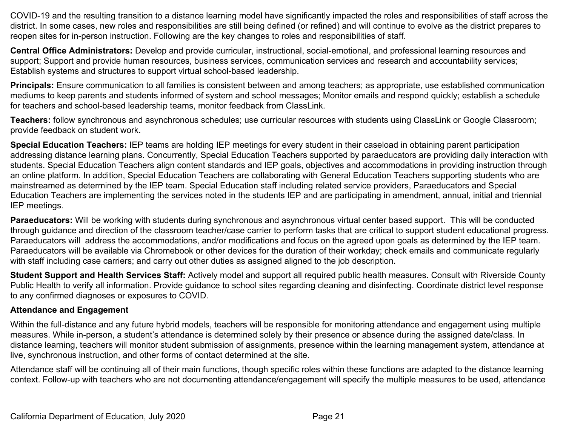COVID-19 and the resulting transition to a distance learning model have significantly impacted the roles and responsibilities of staff across the district. In some cases, new roles and responsibilities are still being defined (or refined) and will continue to evolve as the district prepares to reopen sites for in-person instruction. Following are the key changes to roles and responsibilities of staff.

**Central Office Administrators:** Develop and provide curricular, instructional, social-emotional, and professional learning resources and support; Support and provide human resources, business services, communication services and research and accountability services; Establish systems and structures to support virtual school-based leadership.

**Principals:** Ensure communication to all families is consistent between and among teachers; as appropriate, use established communication mediums to keep parents and students informed of system and school messages; Monitor emails and respond quickly; establish a schedule for teachers and school-based leadership teams, monitor feedback from ClassLink.

**Teachers:** follow synchronous and asynchronous schedules; use curricular resources with students using ClassLink or Google Classroom; provide feedback on student work.

**Special Education Teachers:** IEP teams are holding IEP meetings for every student in their caseload in obtaining parent participation addressing distance learning plans. Concurrently, Special Education Teachers supported by paraeducators are providing daily interaction with students. Special Education Teachers align content standards and IEP goals, objectives and accommodations in providing instruction through an online platform. In addition, Special Education Teachers are collaborating with General Education Teachers supporting students who are mainstreamed as determined by the IEP team. Special Education staff including related service providers, Paraeducators and Special Education Teachers are implementing the services noted in the students IEP and are participating in amendment, annual, initial and triennial IEP meetings.

**Paraeducators:** Will be working with students during synchronous and asynchronous virtual center based support. This will be conducted through guidance and direction of the classroom teacher/case carrier to perform tasks that are critical to support student educational progress. Paraeducators will address the accommodations, and/or modifications and focus on the agreed upon goals as determined by the IEP team. Paraeducators will be available via Chromebook or other devices for the duration of their workday; check emails and communicate regularly with staff including case carriers; and carry out other duties as assigned aligned to the job description.

**Student Support and Health Services Staff:** Actively model and support all required public health measures. Consult with Riverside County Public Health to verify all information. Provide guidance to school sites regarding cleaning and disinfecting. Coordinate district level response to any confirmed diagnoses or exposures to COVID.

#### **Attendance and Engagement**

Within the full-distance and any future hybrid models, teachers will be responsible for monitoring attendance and engagement using multiple measures. While in-person, a student's attendance is determined solely by their presence or absence during the assigned date/class. In distance learning, teachers will monitor student submission of assignments, presence within the learning management system, attendance at live, synchronous instruction, and other forms of contact determined at the site.

Attendance staff will be continuing all of their main functions, though specific roles within these functions are adapted to the distance learning context. Follow-up with teachers who are not documenting attendance/engagement will specify the multiple measures to be used, attendance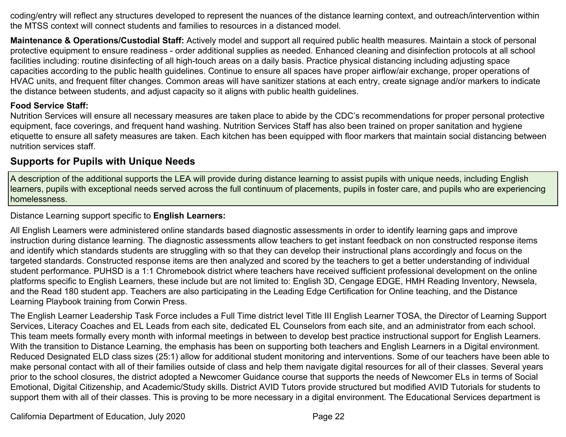coding/entry will reflect any structures developed to represent the nuances of the distance learning context, and outreach/intervention within the MTSS context will connect students and families to resources in a distanced model.

**Maintenance & Operations/Custodial Staff:** Actively model and support all required public health measures. Maintain a stock of personal protective equipment to ensure readiness - order additional supplies as needed. Enhanced cleaning and disinfection protocols at all school facilities including: routine disinfecting of all high-touch areas on a daily basis. Practice physical distancing including adjusting space capacities according to the public health guidelines. Continue to ensure all spaces have proper airflow/air exchange, proper operations of HVAC units, and frequent filter changes. Common areas will have sanitizer stations at each entry, create signage and/or markers to indicate the distance between students, and adjust capacity so it aligns with public health guidelines.

#### **Food Service Staff:**

Nutrition Services will ensure all necessary measures are taken place to abide by the CDC's recommendations for proper personal protective equipment, face coverings, and frequent hand washing. Nutrition Services Staff has also been trained on proper sanitation and hygiene etiquette to ensure all safety measures are taken. Each kitchen has been equipped with floor markers that maintain social distancing between nutrition services staff.

## **Supports for Pupils with Unique Needs**

A description of the additional supports the LEA will provide during distance learning to assist pupils with unique needs, including English learners, pupils with exceptional needs served across the full continuum of placements, pupils in foster care, and pupils who are experiencing homelessness.

Distance Learning support specific to **English Learners:**

All English Learners were administered online standards based diagnostic assessments in order to identify learning gaps and improve instruction during distance learning. The diagnostic assessments allow teachers to get instant feedback on non constructed response items and identify which standards students are struggling with so that they can develop their instructional plans accordingly and focus on the targeted standards. Constructed response items are then analyzed and scored by the teachers to get a better understanding of individual student performance. PUHSD is a 1:1 Chromebook district where teachers have received sufficient professional development on the online platforms specific to English Learners, these include but are not limited to: English 3D, Cengage EDGE, HMH Reading Inventory, Newsela, and the Read 180 student app. Teachers are also participating in the Leading Edge Certification for Online teaching, and the Distance Learning Playbook training from Corwin Press.

The English Learner Leadership Task Force includes a Full Time district level Title III English Learner TOSA, the Director of Learning Support Services, Literacy Coaches and EL Leads from each site, dedicated EL Counselors from each site, and an administrator from each school. This team meets formally every month with informal meetings in between to develop best practice instructional support for English Learners. With the transition to Distance Learning, the emphasis has been on supporting both teachers and English Learners in a Digital environment. Reduced Designated ELD class sizes (25:1) allow for additional student monitoring and interventions. Some of our teachers have been able to make personal contact with all of their families outside of class and help them navigate digital resources for all of their classes. Several years prior to the school closures, the district adopted a Newcomer Guidance course that supports the needs of Newcomer ELs in terms of Social Emotional, Digital Citizenship, and Academic/Study skills. District AVID Tutors provide structured but modified AVID Tutorials for students to support them with all of their classes. This is proving to be more necessary in a digital environment. The Educational Services department is

California Department of Education, July 2020 Page 22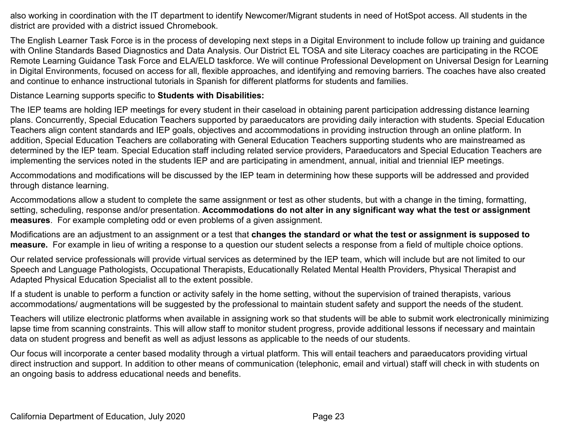also working in coordination with the IT department to identify Newcomer/Migrant students in need of HotSpot access. All students in the district are provided with a district issued Chromebook.

The English Learner Task Force is in the process of developing next steps in a Digital Environment to include follow up training and guidance with Online Standards Based Diagnostics and Data Analysis. Our District EL TOSA and site Literacy coaches are participating in the RCOE Remote Learning Guidance Task Force and ELA/ELD taskforce. We will continue Professional Development on Universal Design for Learning in Digital Environments, focused on access for all, flexible approaches, and identifying and removing barriers. The coaches have also created and continue to enhance instructional tutorials in Spanish for different platforms for students and families.

Distance Learning supports specific to **Students with Disabilities:**

The IEP teams are holding IEP meetings for every student in their caseload in obtaining parent participation addressing distance learning plans. Concurrently, Special Education Teachers supported by paraeducators are providing daily interaction with students. Special Education Teachers align content standards and IEP goals, objectives and accommodations in providing instruction through an online platform. In addition, Special Education Teachers are collaborating with General Education Teachers supporting students who are mainstreamed as determined by the IEP team. Special Education staff including related service providers, Paraeducators and Special Education Teachers are implementing the services noted in the students IEP and are participating in amendment, annual, initial and triennial IEP meetings.

Accommodations and modifications will be discussed by the IEP team in determining how these supports will be addressed and provided through distance learning.

Accommodations allow a student to complete the same assignment or test as other students, but with a change in the timing, formatting, setting, scheduling, response and/or presentation. **Accommodations do not alter in any significant way what the test or assignment measures**. For example completing odd or even problems of a given assignment.

Modifications are an adjustment to an assignment or a test that **changes the standard or what the test or assignment is supposed to measure.** For example in lieu of writing a response to a question our student selects a response from a field of multiple choice options.

Our related service professionals will provide virtual services as determined by the IEP team, which will include but are not limited to our Speech and Language Pathologists, Occupational Therapists, Educationally Related Mental Health Providers, Physical Therapist and Adapted Physical Education Specialist all to the extent possible.

If a student is unable to perform a function or activity safely in the home setting, without the supervision of trained therapists, various accommodations/ augmentations will be suggested by the professional to maintain student safety and support the needs of the student.

Teachers will utilize electronic platforms when available in assigning work so that students will be able to submit work electronically minimizing lapse time from scanning constraints. This will allow staff to monitor student progress, provide additional lessons if necessary and maintain data on student progress and benefit as well as adjust lessons as applicable to the needs of our students.

Our focus will incorporate a center based modality through a virtual platform. This will entail teachers and paraeducators providing virtual direct instruction and support. In addition to other means of communication (telephonic, email and virtual) staff will check in with students on an ongoing basis to address educational needs and benefits.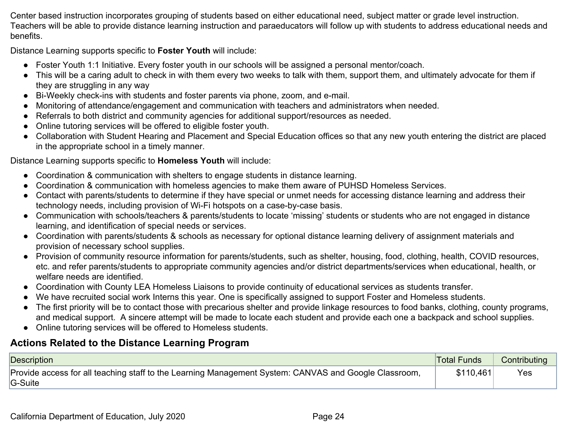Center based instruction incorporates grouping of students based on either educational need, subject matter or grade level instruction. Teachers will be able to provide distance learning instruction and paraeducators will follow up with students to address educational needs and benefits.

Distance Learning supports specific to **Foster Youth** will include:

- Foster Youth 1:1 Initiative. Every foster youth in our schools will be assigned a personal mentor/coach.
- This will be a caring adult to check in with them every two weeks to talk with them, support them, and ultimately advocate for them if they are struggling in any way
- Bi-Weekly check-ins with students and foster parents via phone, zoom, and e-mail.
- Monitoring of attendance/engagement and communication with teachers and administrators when needed.
- Referrals to both district and community agencies for additional support/resources as needed.
- Online tutoring services will be offered to eligible foster youth.
- Collaboration with Student Hearing and Placement and Special Education offices so that any new youth entering the district are placed in the appropriate school in a timely manner.

Distance Learning supports specific to **Homeless Youth** will include:

- Coordination & communication with shelters to engage students in distance learning.
- Coordination & communication with homeless agencies to make them aware of PUHSD Homeless Services.
- Contact with parents/students to determine if they have special or unmet needs for accessing distance learning and address their technology needs, including provision of Wi-Fi hotspots on a case-by-case basis.
- Communication with schools/teachers & parents/students to locate 'missing' students or students who are not engaged in distance learning, and identification of special needs or services.
- Coordination with parents/students & schools as necessary for optional distance learning delivery of assignment materials and provision of necessary school supplies.
- Provision of community resource information for parents/students, such as shelter, housing, food, clothing, health, COVID resources, etc. and refer parents/students to appropriate community agencies and/or district departments/services when educational, health, or welfare needs are identified.
- Coordination with County LEA Homeless Liaisons to provide continuity of educational services as students transfer.
- We have recruited social work Interns this year. One is specifically assigned to support Foster and Homeless students.
- The first priority will be to contact those with precarious shelter and provide linkage resources to food banks, clothing, county programs, and medical support. A sincere attempt will be made to locate each student and provide each one a backpack and school supplies.
- Online tutoring services will be offered to Homeless students.

## **Actions Related to the Distance Learning Program**

| Description                                                                                                      | <b>Total Funds</b> | Contributing |
|------------------------------------------------------------------------------------------------------------------|--------------------|--------------|
| Provide access for all teaching staff to the Learning Management System: CANVAS and Google Classroom,<br>G-Suite |                    | Yes          |
|                                                                                                                  |                    |              |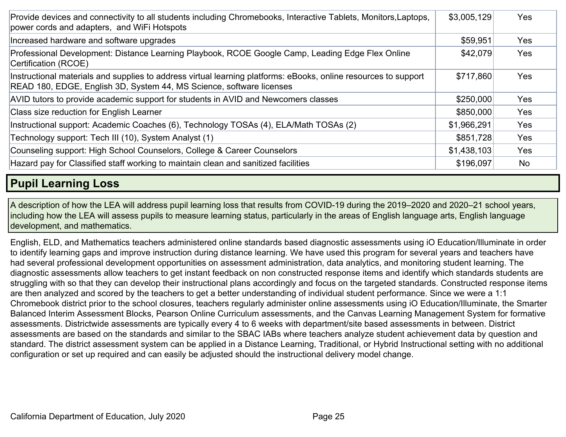| Provide devices and connectivity to all students including Chromebooks, Interactive Tablets, Monitors, Laptops,<br>power cords and adapters, and WiFi Hotspots                          | \$3,005,129 | Yes        |
|-----------------------------------------------------------------------------------------------------------------------------------------------------------------------------------------|-------------|------------|
| Increased hardware and software upgrades                                                                                                                                                | \$59,951    | Yes        |
| Professional Development: Distance Learning Playbook, RCOE Google Camp, Leading Edge Flex Online<br>Certification (RCOE)                                                                | \$42,079    | <b>Yes</b> |
| Instructional materials and supplies to address virtual learning platforms: eBooks, online resources to support<br>READ 180, EDGE, English 3D, System 44, MS Science, software licenses | \$717,860   | <b>Yes</b> |
| AVID tutors to provide academic support for students in AVID and Newcomers classes                                                                                                      | \$250,000   | Yes        |
| Class size reduction for English Learner                                                                                                                                                | \$850,000   | Yes        |
| Instructional support: Academic Coaches (6), Technology TOSAs (4), ELA/Math TOSAs (2)                                                                                                   | \$1,966,291 | Yes        |
| Technology support: Tech III (10), System Analyst (1)                                                                                                                                   | \$851,728   | Yes        |
| Counseling support: High School Counselors, College & Career Counselors                                                                                                                 | \$1,438,103 | Yes        |
| Hazard pay for Classified staff working to maintain clean and sanitized facilities                                                                                                      | \$196,097   | <b>No</b>  |

## **Pupil Learning Loss**

A description of how the LEA will address pupil learning loss that results from COVID-19 during the 2019–2020 and 2020–21 school years, including how the LEA will assess pupils to measure learning status, particularly in the areas of English language arts, English language development, and mathematics.

English, ELD, and Mathematics teachers administered online standards based diagnostic assessments using iO Education/Illuminate in order to identify learning gaps and improve instruction during distance learning. We have used this program for several years and teachers have had several professional development opportunities on assessment administration, data analytics, and monitoring student learning. The diagnostic assessments allow teachers to get instant feedback on non constructed response items and identify which standards students are struggling with so that they can develop their instructional plans accordingly and focus on the targeted standards. Constructed response items are then analyzed and scored by the teachers to get a better understanding of individual student performance. Since we were a 1:1 Chromebook district prior to the school closures, teachers regularly administer online assessments using iO Education/Illuminate, the Smarter Balanced Interim Assessment Blocks, Pearson Online Curriculum assessments, and the Canvas Learning Management System for formative assessments. Districtwide assessments are typically every 4 to 6 weeks with department/site based assessments in between. District assessments are based on the standards and similar to the SBAC IABs where teachers analyze student achievement data by question and standard. The district assessment system can be applied in a Distance Learning, Traditional, or Hybrid Instructional setting with no additional configuration or set up required and can easily be adjusted should the instructional delivery model change.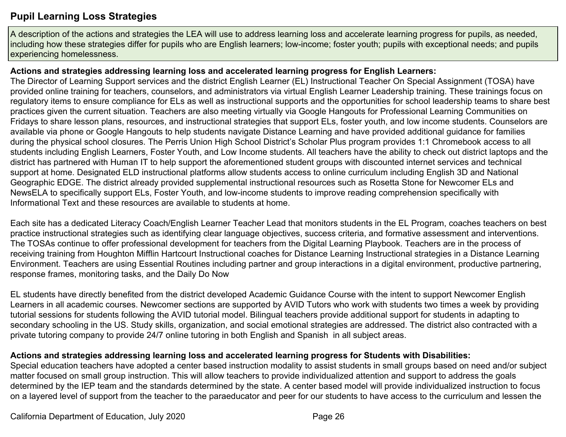## **Pupil Learning Loss Strategies**

A description of the actions and strategies the LEA will use to address learning loss and accelerate learning progress for pupils, as needed, including how these strategies differ for pupils who are English learners; low-income; foster youth; pupils with exceptional needs; and pupils experiencing homelessness.

#### **Actions and strategies addressing learning loss and accelerated learning progress for English Learners:**

The Director of Learning Support services and the district English Learner (EL) Instructional Teacher On Special Assignment (TOSA) have provided online training for teachers, counselors, and administrators via virtual English Learner Leadership training. These trainings focus on regulatory items to ensure compliance for ELs as well as instructional supports and the opportunities for school leadership teams to share best practices given the current situation. Teachers are also meeting virtually via Google Hangouts for Professional Learning Communities on Fridays to share lesson plans, resources, and instructional strategies that support ELs, foster youth, and low income students. Counselors are available via phone or Google Hangouts to help students navigate Distance Learning and have provided additional guidance for families during the physical school closures. The Perris Union High School District's Scholar Plus program provides 1:1 Chromebook access to all students including English Learners, Foster Youth, and Low Income students. All teachers have the ability to check out district laptops and the district has partnered with Human IT to help support the aforementioned student groups with discounted internet services and technical support at home. Designated ELD instructional platforms allow students access to online curriculum including English 3D and National Geographic EDGE. The district already provided supplemental instructional resources such as Rosetta Stone for Newcomer ELs and NewsELA to specifically support ELs, Foster Youth, and low-income students to improve reading comprehension specifically with Informational Text and these resources are available to students at home.

Each site has a dedicated Literacy Coach/English Learner Teacher Lead that monitors students in the EL Program, coaches teachers on best practice instructional strategies such as identifying clear language objectives, success criteria, and formative assessment and interventions. The TOSAs continue to offer professional development for teachers from the Digital Learning Playbook. Teachers are in the process of receiving training from Houghton Mifflin Hartcourt Instructional coaches for Distance Learning Instructional strategies in a Distance Learning Environment. Teachers are using Essential Routines including partner and group interactions in a digital environment, productive partnering, response frames, monitoring tasks, and the Daily Do Now

EL students have directly benefited from the district developed Academic Guidance Course with the intent to support Newcomer English Learners in all academic courses. Newcomer sections are supported by AVID Tutors who work with students two times a week by providing tutorial sessions for students following the AVID tutorial model. Bilingual teachers provide additional support for students in adapting to secondary schooling in the US. Study skills, organization, and social emotional strategies are addressed. The district also contracted with a private tutoring company to provide 24/7 online tutoring in both English and Spanish in all subject areas.

## **Actions and strategies addressing learning loss and accelerated learning progress for Students with Disabilities:**

Special education teachers have adopted a center based instruction modality to assist students in small groups based on need and/or subject matter focused on small group instruction. This will allow teachers to provide individualized attention and support to address the goals determined by the IEP team and the standards determined by the state. A center based model will provide individualized instruction to focus on a layered level of support from the teacher to the paraeducator and peer for our students to have access to the curriculum and lessen the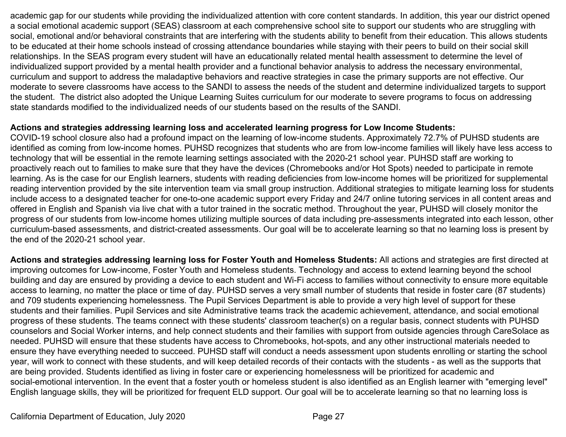academic gap for our students while providing the individualized attention with core content standards. In addition, this year our district opened a social emotional academic support (SEAS) classroom at each comprehensive school site to support our students who are struggling with social, emotional and/or behavioral constraints that are interfering with the students ability to benefit from their education. This allows students to be educated at their home schools instead of crossing attendance boundaries while staying with their peers to build on their social skill relationships. In the SEAS program every student will have an educationally related mental health assessment to determine the level of individualized support provided by a mental health provider and a functional behavior analysis to address the necessary environmental, curriculum and support to address the maladaptive behaviors and reactive strategies in case the primary supports are not effective. Our moderate to severe classrooms have access to the SANDI to assess the needs of the student and determine individualized targets to support the student. The district also adopted the Unique Learning Suites curriculum for our moderate to severe programs to focus on addressing state standards modified to the individualized needs of our students based on the results of the SANDI.

#### **Actions and strategies addressing learning loss and accelerated learning progress for Low Income Students:**

COVID-19 school closure also had a profound impact on the learning of low-income students. Approximately 72.7% of PUHSD students are identified as coming from low-income homes. PUHSD recognizes that students who are from low-income families will likely have less access to technology that will be essential in the remote learning settings associated with the 2020-21 school year. PUHSD staff are working to proactively reach out to families to make sure that they have the devices (Chromebooks and/or Hot Spots) needed to participate in remote learning. As is the case for our English learners, students with reading deficiencies from low-income homes will be prioritized for supplemental reading intervention provided by the site intervention team via small group instruction. Additional strategies to mitigate learning loss for students include access to a designated teacher for one-to-one academic support every Friday and 24/7 online tutoring services in all content areas and offered in English and Spanish via live chat with a tutor trained in the socratic method. Throughout the year, PUHSD will closely monitor the progress of our students from low-income homes utilizing multiple sources of data including pre-assessments integrated into each lesson, other curriculum-based assessments, and district-created assessments. Our goal will be to accelerate learning so that no learning loss is present by the end of the 2020-21 school year.

**Actions and strategies addressing learning loss for Foster Youth and Homeless Students:** All actions and strategies are first directed at improving outcomes for Low-income, Foster Youth and Homeless students. Technology and access to extend learning beyond the school building and day are ensured by providing a device to each student and Wi-Fi access to families without connectivity to ensure more equitable access to learning, no matter the place or time of day. PUHSD serves a very small number of students that reside in foster care (87 students) and 709 students experiencing homelessness. The Pupil Services Department is able to provide a very high level of support for these students and their families. Pupil Services and site Administrative teams track the academic achievement, attendance, and social emotional progress of these students. The teams connect with these students' classroom teacher(s) on a regular basis, connect students with PUHSD counselors and Social Worker interns, and help connect students and their families with support from outside agencies through CareSolace as needed. PUHSD will ensure that these students have access to Chromebooks, hot-spots, and any other instructional materials needed to ensure they have everything needed to succeed. PUHSD staff will conduct a needs assessment upon students enrolling or starting the school year, will work to connect with these students, and will keep detailed records of their contacts with the students - as well as the supports that are being provided. Students identified as living in foster care or experiencing homelessness will be prioritized for academic and social-emotional intervention. In the event that a foster youth or homeless student is also identified as an English learner with "emerging level" English language skills, they will be prioritized for frequent ELD support. Our goal will be to accelerate learning so that no learning loss is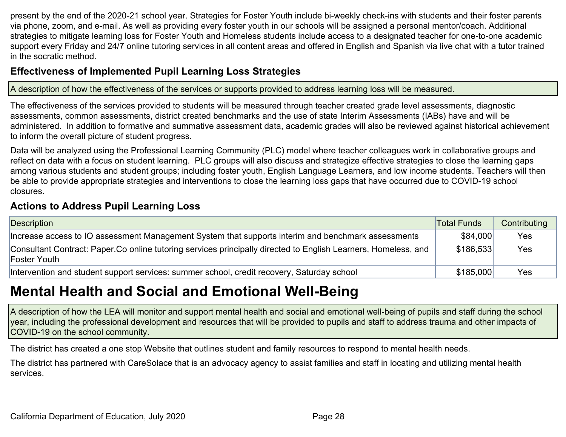present by the end of the 2020-21 school year. Strategies for Foster Youth include bi-weekly check-ins with students and their foster parents via phone, zoom, and e-mail. As well as providing every foster youth in our schools will be assigned a personal mentor/coach. Additional strategies to mitigate learning loss for Foster Youth and Homeless students include access to a designated teacher for one-to-one academic support every Friday and 24/7 online tutoring services in all content areas and offered in English and Spanish via live chat with a tutor trained in the socratic method.

## **Effectiveness of Implemented Pupil Learning Loss Strategies**

A description of how the effectiveness of the services or supports provided to address learning loss will be measured.

The effectiveness of the services provided to students will be measured through teacher created grade level assessments, diagnostic assessments, common assessments, district created benchmarks and the use of state Interim Assessments (IABs) have and will be administered. In addition to formative and summative assessment data, academic grades will also be reviewed against historical achievement to inform the overall picture of student progress.

Data will be analyzed using the Professional Learning Community (PLC) model where teacher colleagues work in collaborative groups and reflect on data with a focus on student learning. PLC groups will also discuss and strategize effective strategies to close the learning gaps among various students and student groups; including foster youth, English Language Learners, and low income students. Teachers will then be able to provide appropriate strategies and interventions to close the learning loss gaps that have occurred due to COVID-19 school closures.

## **Actions to Address Pupil Learning Loss**

| Description                                                                                                                    | Total Funds | Contributing |
|--------------------------------------------------------------------------------------------------------------------------------|-------------|--------------|
| Increase access to IO assessment Management System that supports interim and benchmark assessments                             | \$84,000    | Yes          |
| Consultant Contract: Paper Co online tutoring services principally directed to English Learners, Homeless, and<br>Foster Youth | \$186,533   | Yes          |
| Intervention and student support services: summer school, credit recovery, Saturday school                                     | \$185,000   | Yes          |

## **Mental Health and Social and Emotional Well-Being**

A description of how the LEA will monitor and support mental health and social and emotional well-being of pupils and staff during the school year, including the professional development and resources that will be provided to pupils and staff to address trauma and other impacts of COVID-19 on the school community.

The district has created a one stop Website that outlines student and family resources to respond to mental health needs.

The district has partnered with CareSolace that is an advocacy agency to assist families and staff in locating and utilizing mental health services.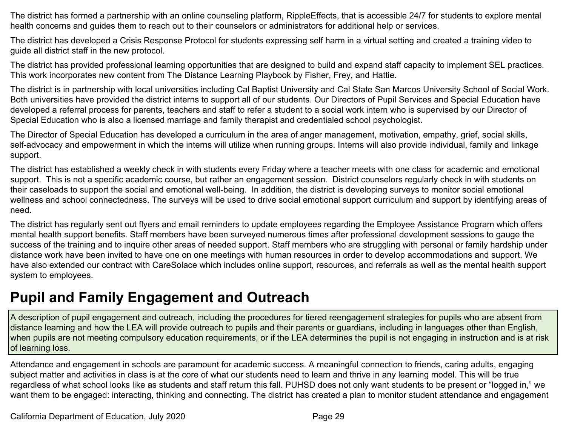The district has formed a partnership with an online counseling platform, RippleEffects, that is accessible 24/7 for students to explore mental health concerns and guides them to reach out to their counselors or administrators for additional help or services.

The district has developed a Crisis Response Protocol for students expressing self harm in a virtual setting and created a training video to guide all district staff in the new protocol.

The district has provided professional learning opportunities that are designed to build and expand staff capacity to implement SEL practices. This work incorporates new content from The Distance Learning Playbook by Fisher, Frey, and Hattie.

The district is in partnership with local universities including Cal Baptist University and Cal State San Marcos University School of Social Work. Both universities have provided the district interns to support all of our students. Our Directors of Pupil Services and Special Education have developed a referral process for parents, teachers and staff to refer a student to a social work intern who is supervised by our Director of Special Education who is also a licensed marriage and family therapist and credentialed school psychologist.

The Director of Special Education has developed a curriculum in the area of anger management, motivation, empathy, grief, social skills, self-advocacy and empowerment in which the interns will utilize when running groups. Interns will also provide individual, family and linkage support.

The district has established a weekly check in with students every Friday where a teacher meets with one class for academic and emotional support. This is not a specific academic course, but rather an engagement session. District counselors regularly check in with students on their caseloads to support the social and emotional well-being. In addition, the district is developing surveys to monitor social emotional wellness and school connectedness. The surveys will be used to drive social emotional support curriculum and support by identifying areas of need.

The district has regularly sent out flyers and email reminders to update employees regarding the Employee Assistance Program which offers mental health support benefits. Staff members have been surveyed numerous times after professional development sessions to gauge the success of the training and to inquire other areas of needed support. Staff members who are struggling with personal or family hardship under distance work have been invited to have one on one meetings with human resources in order to develop accommodations and support. We have also extended our contract with CareSolace which includes online support, resources, and referrals as well as the mental health support system to employees.

## **Pupil and Family Engagement and Outreach**

A description of pupil engagement and outreach, including the procedures for tiered reengagement strategies for pupils who are absent from distance learning and how the LEA will provide outreach to pupils and their parents or guardians, including in languages other than English, when pupils are not meeting compulsory education requirements, or if the LEA determines the pupil is not engaging in instruction and is at risk of learning loss.

Attendance and engagement in schools are paramount for academic success. A meaningful connection to friends, caring adults, engaging subject matter and activities in class is at the core of what our students need to learn and thrive in any learning model. This will be true regardless of what school looks like as students and staff return this fall. PUHSD does not only want students to be present or "logged in," we want them to be engaged: interacting, thinking and connecting. The district has created a plan to monitor student attendance and engagement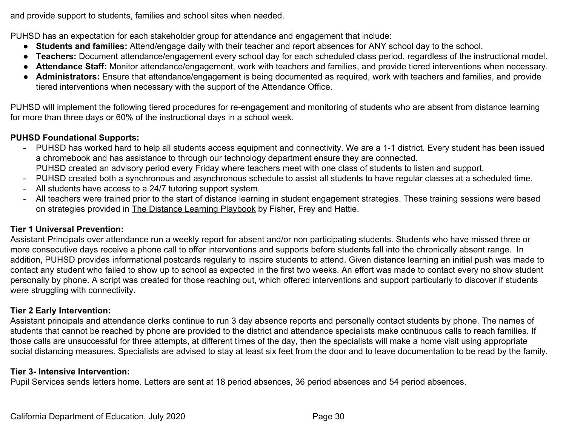and provide support to students, families and school sites when needed.

PUHSD has an expectation for each stakeholder group for attendance and engagement that include:

- **Students and families:** Attend/engage daily with their teacher and report absences for ANY school day to the school.
- **Teachers:** Document attendance/engagement every school day for each scheduled class period, regardless of the instructional model.
- **Attendance Staff:** Monitor attendance/engagement, work with teachers and families, and provide tiered interventions when necessary.
- **Administrators:** Ensure that attendance/engagement is being documented as required, work with teachers and families, and provide tiered interventions when necessary with the support of the Attendance Office.

PUHSD will implement the following tiered procedures for re-engagement and monitoring of students who are absent from distance learning for more than three days or 60% of the instructional days in a school week.

#### **PUHSD Foundational Supports:**

- PUHSD has worked hard to help all students access equipment and connectivity. We are a 1-1 district. Every student has been issued a chromebook and has assistance to through our technology department ensure they are connected. PUHSD created an advisory period every Friday where teachers meet with one class of students to listen and support.
- PUHSD created both a synchronous and asynchronous schedule to assist all students to have regular classes at a scheduled time.
- All students have access to a 24/7 tutoring support system.
- All teachers were trained prior to the start of distance learning in student engagement strategies. These training sessions were based on strategies provided in The Distance Learning Playbook by Fisher, Frey and Hattie.

#### **Tier 1 Universal Prevention:**

Assistant Principals over attendance run a weekly report for absent and/or non participating students. Students who have missed three or more consecutive days receive a phone call to offer interventions and supports before students fall into the chronically absent range. In addition, PUHSD provides informational postcards regularly to inspire students to attend. Given distance learning an initial push was made to contact any student who failed to show up to school as expected in the first two weeks. An effort was made to contact every no show student personally by phone. A script was created for those reaching out, which offered interventions and support particularly to discover if students were struggling with connectivity.

#### **Tier 2 Early Intervention:**

Assistant principals and attendance clerks continue to run 3 day absence reports and personally contact students by phone. The names of students that cannot be reached by phone are provided to the district and attendance specialists make continuous calls to reach families. If those calls are unsuccessful for three attempts, at different times of the day, then the specialists will make a home visit using appropriate social distancing measures. Specialists are advised to stay at least six feet from the door and to leave documentation to be read by the family.

#### **Tier 3- Intensive Intervention:**

Pupil Services sends letters home. Letters are sent at 18 period absences, 36 period absences and 54 period absences.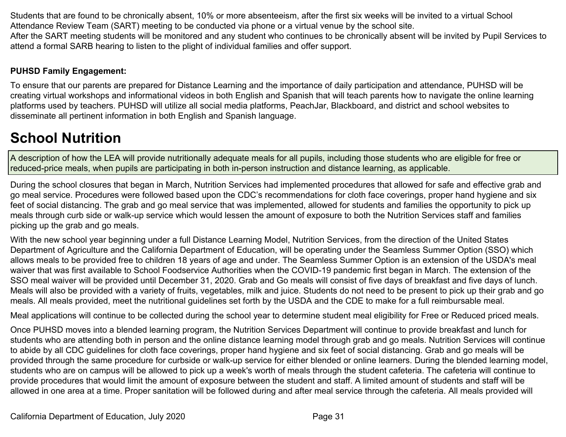Students that are found to be chronically absent, 10% or more absenteeism, after the first six weeks will be invited to a virtual School Attendance Review Team (SART) meeting to be conducted via phone or a virtual venue by the school site. After the SART meeting students will be monitored and any student who continues to be chronically absent will be invited by Pupil Services to attend a formal SARB hearing to listen to the plight of individual families and offer support.

## **PUHSD Family Engagement:**

To ensure that our parents are prepared for Distance Learning and the importance of daily participation and attendance, PUHSD will be creating virtual workshops and informational videos in both English and Spanish that will teach parents how to navigate the online learning platforms used by teachers. PUHSD will utilize all social media platforms, PeachJar, Blackboard, and district and school websites to disseminate all pertinent information in both English and Spanish language.

# **School Nutrition**

A description of how the LEA will provide nutritionally adequate meals for all pupils, including those students who are eligible for free or reduced-price meals, when pupils are participating in both in-person instruction and distance learning, as applicable.

During the school closures that began in March, Nutrition Services had implemented procedures that allowed for safe and effective grab and go meal service. Procedures were followed based upon the CDC's recommendations for cloth face coverings, proper hand hygiene and six feet of social distancing. The grab and go meal service that was implemented, allowed for students and families the opportunity to pick up meals through curb side or walk-up service which would lessen the amount of exposure to both the Nutrition Services staff and families picking up the grab and go meals.

With the new school year beginning under a full Distance Learning Model, Nutrition Services, from the direction of the United States Department of Agriculture and the California Department of Education, will be operating under the Seamless Summer Option (SSO) which allows meals to be provided free to children 18 years of age and under. The Seamless Summer Option is an extension of the USDA's meal waiver that was first available to School Foodservice Authorities when the COVID-19 pandemic first began in March. The extension of the SSO meal waiver will be provided until December 31, 2020. Grab and Go meals will consist of five days of breakfast and five days of lunch. Meals will also be provided with a variety of fruits, vegetables, milk and juice. Students do not need to be present to pick up their grab and go meals. All meals provided, meet the nutritional guidelines set forth by the USDA and the CDE to make for a full reimbursable meal.

Meal applications will continue to be collected during the school year to determine student meal eligibility for Free or Reduced priced meals.

Once PUHSD moves into a blended learning program, the Nutrition Services Department will continue to provide breakfast and lunch for students who are attending both in person and the online distance learning model through grab and go meals. Nutrition Services will continue to abide by all CDC guidelines for cloth face coverings, proper hand hygiene and six feet of social distancing. Grab and go meals will be provided through the same procedure for curbside or walk-up service for either blended or online learners. During the blended learning model, students who are on campus will be allowed to pick up a week's worth of meals through the student cafeteria. The cafeteria will continue to provide procedures that would limit the amount of exposure between the student and staff. A limited amount of students and staff will be allowed in one area at a time. Proper sanitation will be followed during and after meal service through the cafeteria. All meals provided will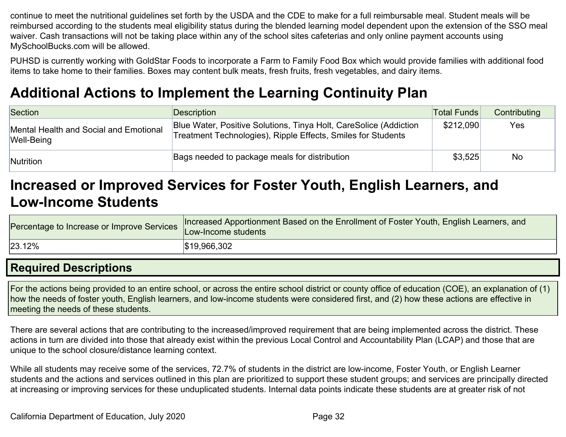continue to meet the nutritional guidelines set forth by the USDA and the CDE to make for a full reimbursable meal. Student meals will be reimbursed according to the students meal eligibility status during the blended learning model dependent upon the extension of the SSO meal waiver. Cash transactions will not be taking place within any of the school sites cafeterias and only online payment accounts using MySchoolBucks.com will be allowed.

PUHSD is currently working with GoldStar Foods to incorporate a Farm to Family Food Box which would provide families with additional food items to take home to their families. Boxes may content bulk meats, fresh fruits, fresh vegetables, and dairy items.

## **Additional Actions to Implement the Learning Continuity Plan**

| Section                                              | <b>Description</b>                                                                                                                | <b>Total Funds</b> | Contributing |
|------------------------------------------------------|-----------------------------------------------------------------------------------------------------------------------------------|--------------------|--------------|
| Mental Health and Social and Emotional<br>Well-Being | Blue Water, Positive Solutions, Tinya Holt, CareSolice (Addiction<br>Treatment Technologies), Ripple Effects, Smiles for Students | \$212,090          | Yes          |
| Nutrition                                            | Bags needed to package meals for distribution                                                                                     | \$3,525            | No           |

## **Increased or Improved Services for Foster Youth, English Learners, and Low-Income Students**

| Percentage to Increase or Improve Services | Increased Apportionment Based on the Enrollment of Foster Youth, English Learners, and<br>Low-Income students |
|--------------------------------------------|---------------------------------------------------------------------------------------------------------------|
| 23.12%                                     | \$19,966,302                                                                                                  |

## **Required Descriptions**

For the actions being provided to an entire school, or across the entire school district or county office of education (COE), an explanation of (1) how the needs of foster youth, English learners, and low-income students were considered first, and (2) how these actions are effective in meeting the needs of these students.

There are several actions that are contributing to the increased/improved requirement that are being implemented across the district. These actions in turn are divided into those that already exist within the previous Local Control and Accountability Plan (LCAP) and those that are unique to the school closure/distance learning context.

While all students may receive some of the services, 72.7% of students in the district are low-income, Foster Youth, or English Learner students and the actions and services outlined in this plan are prioritized to support these student groups; and services are principally directed at increasing or improving services for these unduplicated students. Internal data points indicate these students are at greater risk of not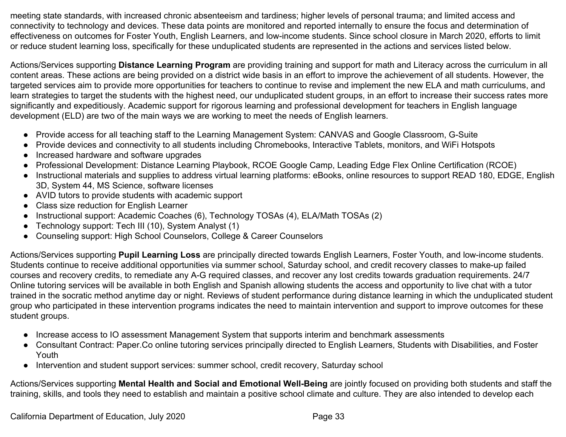meeting state standards, with increased chronic absenteeism and tardiness; higher levels of personal trauma; and limited access and connectivity to technology and devices. These data points are monitored and reported internally to ensure the focus and determination of effectiveness on outcomes for Foster Youth, English Learners, and low-income students. Since school closure in March 2020, efforts to limit or reduce student learning loss, specifically for these unduplicated students are represented in the actions and services listed below.

Actions/Services supporting **Distance Learning Program** are providing training and support for math and Literacy across the curriculum in all content areas. These actions are being provided on a district wide basis in an effort to improve the achievement of all students. However, the targeted services aim to provide more opportunities for teachers to continue to revise and implement the new ELA and math curriculums, and learn strategies to target the students with the highest need, our unduplicated student groups, in an effort to increase their success rates more significantly and expeditiously. Academic support for rigorous learning and professional development for teachers in English language development (ELD) are two of the main ways we are working to meet the needs of English learners.

- Provide access for all teaching staff to the Learning Management System: CANVAS and Google Classroom, G-Suite
- Provide devices and connectivity to all students including Chromebooks, Interactive Tablets, monitors, and WiFi Hotspots
- Increased hardware and software upgrades
- Professional Development: Distance Learning Playbook, RCOE Google Camp, Leading Edge Flex Online Certification (RCOE)
- Instructional materials and supplies to address virtual learning platforms: eBooks, online resources to support READ 180, EDGE, English 3D, System 44, MS Science, software licenses
- AVID tutors to provide students with academic support
- Class size reduction for English Learner
- Instructional support: Academic Coaches (6), Technology TOSAs (4), ELA/Math TOSAs (2)
- Technology support: Tech III (10), System Analyst (1)
- Counseling support: High School Counselors, College & Career Counselors

Actions/Services supporting **Pupil Learning Loss** are principally directed towards English Learners, Foster Youth, and low-income students. Students continue to receive additional opportunities via summer school, Saturday school, and credit recovery classes to make-up failed courses and recovery credits, to remediate any A-G required classes, and recover any lost credits towards graduation requirements. 24/7 Online tutoring services will be available in both English and Spanish allowing students the access and opportunity to live chat with a tutor trained in the socratic method anytime day or night. Reviews of student performance during distance learning in which the unduplicated student group who participated in these intervention programs indicates the need to maintain intervention and support to improve outcomes for these student groups.

- Increase access to IO assessment Management System that supports interim and benchmark assessments
- Consultant Contract: Paper.Co online tutoring services principally directed to English Learners, Students with Disabilities, and Foster Youth
- Intervention and student support services: summer school, credit recovery, Saturday school

Actions/Services supporting **Mental Health and Social and Emotional Well-Being** are jointly focused on providing both students and staff the training, skills, and tools they need to establish and maintain a positive school climate and culture. They are also intended to develop each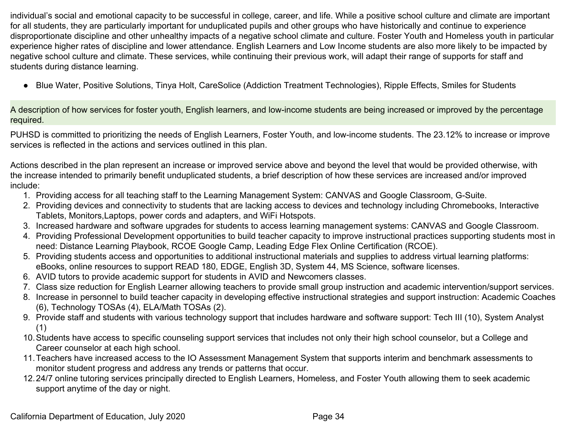individual's social and emotional capacity to be successful in college, career, and life. While a positive school culture and climate are important for all students, they are particularly important for unduplicated pupils and other groups who have historically and continue to experience disproportionate discipline and other unhealthy impacts of a negative school climate and culture. Foster Youth and Homeless youth in particular experience higher rates of discipline and lower attendance. English Learners and Low Income students are also more likely to be impacted by negative school culture and climate. These services, while continuing their previous work, will adapt their range of supports for staff and students during distance learning.

● Blue Water, Positive Solutions, Tinya Holt, CareSolice (Addiction Treatment Technologies), Ripple Effects, Smiles for Students

A description of how services for foster youth, English learners, and low-income students are being increased or improved by the percentage required.

PUHSD is committed to prioritizing the needs of English Learners, Foster Youth, and low-income students. The 23.12% to increase or improve services is reflected in the actions and services outlined in this plan.

Actions described in the plan represent an increase or improved service above and beyond the level that would be provided otherwise, with the increase intended to primarily benefit unduplicated students, a brief description of how these services are increased and/or improved include:

- 1. Providing access for all teaching staff to the Learning Management System: CANVAS and Google Classroom, G-Suite.
- 2. Providing devices and connectivity to students that are lacking access to devices and technology including Chromebooks, Interactive Tablets, Monitors,Laptops, power cords and adapters, and WiFi Hotspots.
- 3. Increased hardware and software upgrades for students to access learning management systems: CANVAS and Google Classroom.
- 4. Providing Professional Development opportunities to build teacher capacity to improve instructional practices supporting students most in need: Distance Learning Playbook, RCOE Google Camp, Leading Edge Flex Online Certification (RCOE).
- 5. Providing students access and opportunities to additional instructional materials and supplies to address virtual learning platforms: eBooks, online resources to support READ 180, EDGE, English 3D, System 44, MS Science, software licenses.
- 6. AVID tutors to provide academic support for students in AVID and Newcomers classes.
- 7. Class size reduction for English Learner allowing teachers to provide small group instruction and academic intervention/support services.
- 8. Increase in personnel to build teacher capacity in developing effective instructional strategies and support instruction: Academic Coaches (6), Technology TOSAs (4), ELA/Math TOSAs (2).
- 9. Provide staff and students with various technology support that includes hardware and software support: Tech III (10), System Analyst (1)
- 10.Students have access to specific counseling support services that includes not only their high school counselor, but a College and Career counselor at each high school.
- 11.Teachers have increased access to the IO Assessment Management System that supports interim and benchmark assessments to monitor student progress and address any trends or patterns that occur.
- 12.24/7 online tutoring services principally directed to English Learners, Homeless, and Foster Youth allowing them to seek academic support anytime of the day or night.